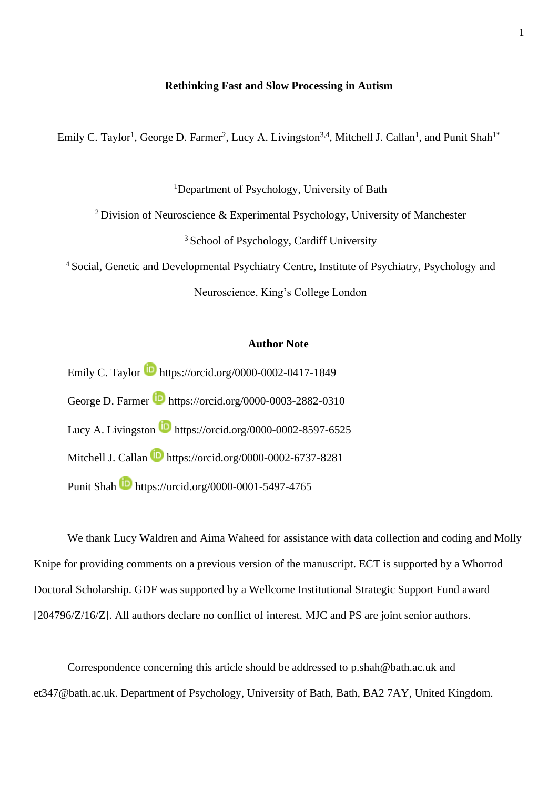### **Rethinking Fast and Slow Processing in Autism**

Emily C. Taylor<sup>1</sup>, George D. Farmer<sup>2</sup>, Lucy A. Livingston<sup>3,4</sup>, Mitchell J. Callan<sup>1</sup>, and Punit Shah<sup>1\*</sup>

<sup>1</sup>Department of Psychology, University of Bath

<sup>2</sup> Division of Neuroscience & Experimental Psychology, University of Manchester

<sup>3</sup> School of Psychology, Cardiff University

<sup>4</sup> Social, Genetic and Developmental Psychiatry Centre, Institute of Psychiatry, Psychology and

Neuroscience, King's College London

## **Author Note**

Emily C. Taylor https://orcid.org/0000-0002-0417-1849 George D. Farmer **h**ttps://orcid.org/0000-0003-2882-0310 Lucy A. Livingston **https://orcid.org/0000-0002-8597-6525** Mitchell J. Callan **h**ttps://orcid.org/0000-0002-6737-8281 Punit Shah **b** https://orcid.org/0000-0001-5497-4765

We thank Lucy Waldren and Aima Waheed for assistance with data collection and coding and Molly Knipe for providing comments on a previous version of the manuscript. ECT is supported by a Whorrod Doctoral Scholarship. GDF was supported by a Wellcome Institutional Strategic Support Fund award [204796/Z/16/Z]. All authors declare no conflict of interest. MJC and PS are joint senior authors.

Correspondence concerning this article should be addressed to [p.shah@bath.ac.uk](mailto:p.shah@bath.ac.uk) and et347@bath.ac.uk. Department of Psychology, University of Bath, Bath, BA2 7AY, United Kingdom.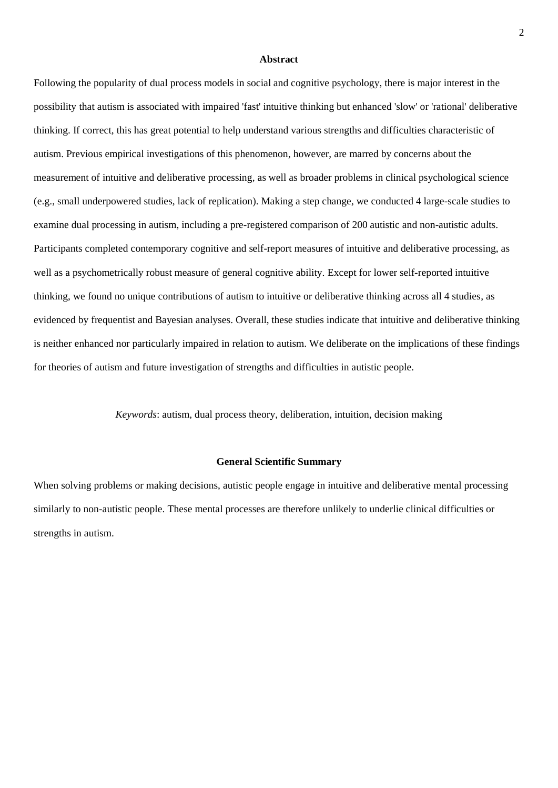#### **Abstract**

Following the popularity of dual process models in social and cognitive psychology, there is major interest in the possibility that autism is associated with impaired 'fast' intuitive thinking but enhanced 'slow' or 'rational' deliberative thinking. If correct, this has great potential to help understand various strengths and difficulties characteristic of autism. Previous empirical investigations of this phenomenon, however, are marred by concerns about the measurement of intuitive and deliberative processing, as well as broader problems in clinical psychological science (e.g., small underpowered studies, lack of replication). Making a step change, we conducted 4 large-scale studies to examine dual processing in autism, including a pre-registered comparison of 200 autistic and non-autistic adults. Participants completed contemporary cognitive and self-report measures of intuitive and deliberative processing, as well as a psychometrically robust measure of general cognitive ability. Except for lower self-reported intuitive thinking, we found no unique contributions of autism to intuitive or deliberative thinking across all 4 studies, as evidenced by frequentist and Bayesian analyses. Overall, these studies indicate that intuitive and deliberative thinking is neither enhanced nor particularly impaired in relation to autism. We deliberate on the implications of these findings for theories of autism and future investigation of strengths and difficulties in autistic people.

*Keywords*: autism, dual process theory, deliberation, intuition, decision making

#### **General Scientific Summary**

When solving problems or making decisions, autistic people engage in intuitive and deliberative mental processing similarly to non-autistic people. These mental processes are therefore unlikely to underlie clinical difficulties or strengths in autism.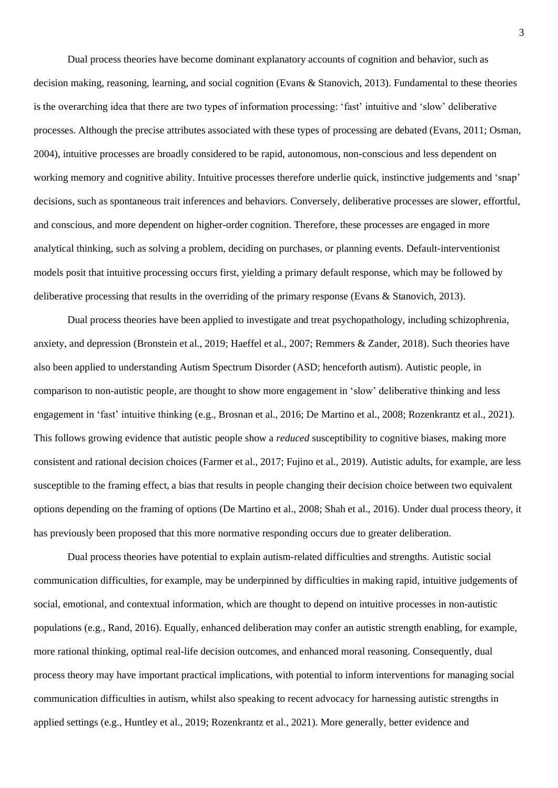Dual process theories have become dominant explanatory accounts of cognition and behavior, such as decision making, reasoning, learning, and social cognition (Evans & Stanovich, 2013). Fundamental to these theories is the overarching idea that there are two types of information processing: 'fast' intuitive and 'slow' deliberative processes. Although the precise attributes associated with these types of processing are debated (Evans, 2011; Osman, 2004), intuitive processes are broadly considered to be rapid, autonomous, non-conscious and less dependent on working memory and cognitive ability. Intuitive processes therefore underlie quick, instinctive judgements and 'snap' decisions, such as spontaneous trait inferences and behaviors. Conversely, deliberative processes are slower, effortful, and conscious, and more dependent on higher-order cognition. Therefore, these processes are engaged in more analytical thinking, such as solving a problem, deciding on purchases, or planning events. Default-interventionist models posit that intuitive processing occurs first, yielding a primary default response, which may be followed by deliberative processing that results in the overriding of the primary response (Evans & Stanovich, 2013).

Dual process theories have been applied to investigate and treat psychopathology, including schizophrenia, anxiety, and depression (Bronstein et al., 2019; Haeffel et al., 2007; Remmers & Zander, 2018). Such theories have also been applied to understanding Autism Spectrum Disorder (ASD; henceforth autism). Autistic people, in comparison to non-autistic people, are thought to show more engagement in 'slow' deliberative thinking and less engagement in 'fast' intuitive thinking (e.g., Brosnan et al., 2016; De Martino et al., 2008; Rozenkrantz et al., 2021). This follows growing evidence that autistic people show a *reduced* susceptibility to cognitive biases, making more consistent and rational decision choices (Farmer et al., 2017; Fujino et al., 2019). Autistic adults, for example, are less susceptible to the framing effect, a bias that results in people changing their decision choice between two equivalent options depending on the framing of options (De Martino et al., 2008; Shah et al., 2016). Under dual process theory, it has previously been proposed that this more normative responding occurs due to greater deliberation.

Dual process theories have potential to explain autism-related difficulties and strengths. Autistic social communication difficulties, for example, may be underpinned by difficulties in making rapid, intuitive judgements of social, emotional, and contextual information, which are thought to depend on intuitive processes in non-autistic populations (e.g., Rand, 2016). Equally, enhanced deliberation may confer an autistic strength enabling, for example, more rational thinking, optimal real-life decision outcomes, and enhanced moral reasoning. Consequently, dual process theory may have important practical implications, with potential to inform interventions for managing social communication difficulties in autism, whilst also speaking to recent advocacy for harnessing autistic strengths in applied settings (e.g., Huntley et al., 2019; Rozenkrantz et al., 2021). More generally, better evidence and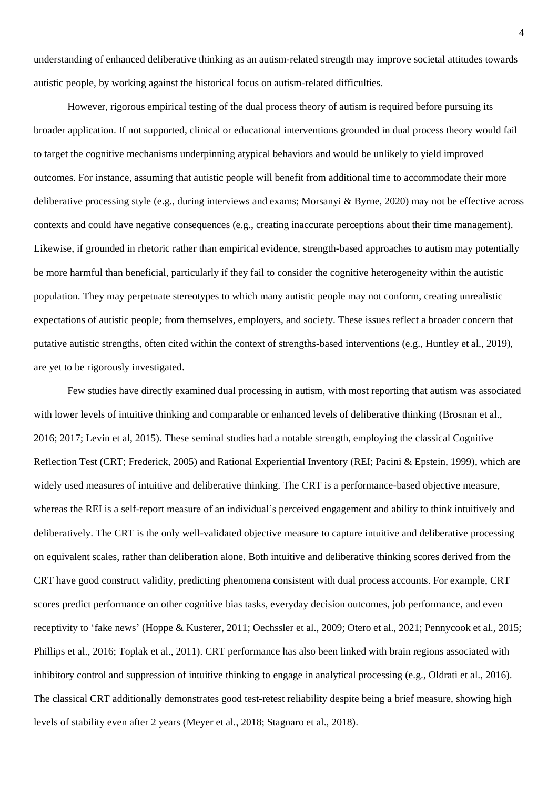understanding of enhanced deliberative thinking as an autism-related strength may improve societal attitudes towards autistic people, by working against the historical focus on autism-related difficulties.

However, rigorous empirical testing of the dual process theory of autism is required before pursuing its broader application. If not supported, clinical or educational interventions grounded in dual process theory would fail to target the cognitive mechanisms underpinning atypical behaviors and would be unlikely to yield improved outcomes. For instance, assuming that autistic people will benefit from additional time to accommodate their more deliberative processing style (e.g., during interviews and exams; Morsanyi & Byrne, 2020) may not be effective across contexts and could have negative consequences (e.g., creating inaccurate perceptions about their time management). Likewise, if grounded in rhetoric rather than empirical evidence, strength-based approaches to autism may potentially be more harmful than beneficial, particularly if they fail to consider the cognitive heterogeneity within the autistic population. They may perpetuate stereotypes to which many autistic people may not conform, creating unrealistic expectations of autistic people; from themselves, employers, and society. These issues reflect a broader concern that putative autistic strengths, often cited within the context of strengths-based interventions (e.g., Huntley et al., 2019), are yet to be rigorously investigated.

Few studies have directly examined dual processing in autism, with most reporting that autism was associated with lower levels of intuitive thinking and comparable or enhanced levels of deliberative thinking (Brosnan et al., 2016; 2017; Levin et al, 2015). These seminal studies had a notable strength, employing the classical Cognitive Reflection Test (CRT; Frederick, 2005) and Rational Experiential Inventory (REI; Pacini & Epstein, 1999), which are widely used measures of intuitive and deliberative thinking. The CRT is a performance-based objective measure, whereas the REI is a self-report measure of an individual's perceived engagement and ability to think intuitively and deliberatively. The CRT is the only well-validated objective measure to capture intuitive and deliberative processing on equivalent scales, rather than deliberation alone. Both intuitive and deliberative thinking scores derived from the CRT have good construct validity, predicting phenomena consistent with dual process accounts. For example, CRT scores predict performance on other cognitive bias tasks, everyday decision outcomes, job performance, and even receptivity to 'fake news' (Hoppe & Kusterer, 2011; Oechssler et al., 2009; Otero et al., 2021; Pennycook et al., 2015; Phillips et al., 2016; Toplak et al., 2011). CRT performance has also been linked with brain regions associated with inhibitory control and suppression of intuitive thinking to engage in analytical processing (e.g., Oldrati et al., 2016). The classical CRT additionally demonstrates good test-retest reliability despite being a brief measure, showing high levels of stability even after 2 years (Meyer et al., 2018; Stagnaro et al., 2018).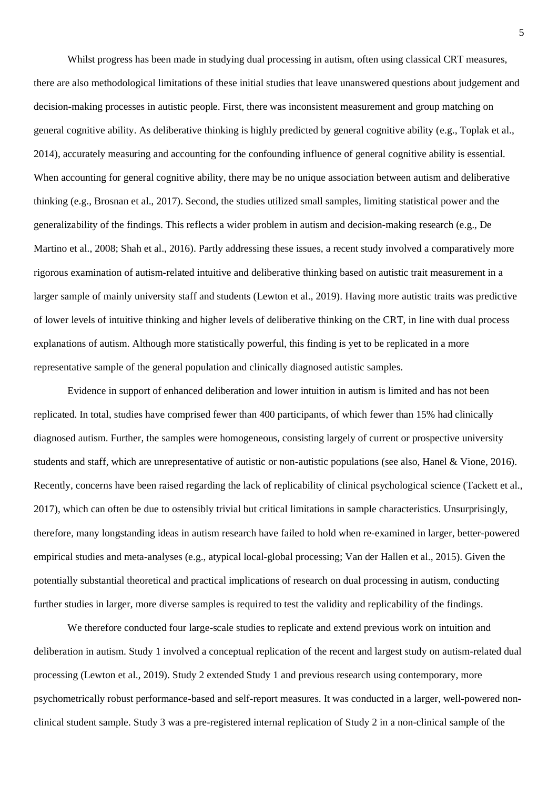Whilst progress has been made in studying dual processing in autism, often using classical CRT measures, there are also methodological limitations of these initial studies that leave unanswered questions about judgement and decision-making processes in autistic people. First, there was inconsistent measurement and group matching on general cognitive ability. As deliberative thinking is highly predicted by general cognitive ability (e.g., Toplak et al., 2014), accurately measuring and accounting for the confounding influence of general cognitive ability is essential. When accounting for general cognitive ability, there may be no unique association between autism and deliberative thinking (e.g., Brosnan et al., 2017). Second, the studies utilized small samples, limiting statistical power and the generalizability of the findings. This reflects a wider problem in autism and decision-making research (e.g., De Martino et al., 2008; Shah et al., 2016). Partly addressing these issues, a recent study involved a comparatively more rigorous examination of autism-related intuitive and deliberative thinking based on autistic trait measurement in a larger sample of mainly university staff and students (Lewton et al., 2019). Having more autistic traits was predictive of lower levels of intuitive thinking and higher levels of deliberative thinking on the CRT, in line with dual process explanations of autism. Although more statistically powerful, this finding is yet to be replicated in a more representative sample of the general population and clinically diagnosed autistic samples.

Evidence in support of enhanced deliberation and lower intuition in autism is limited and has not been replicated. In total, studies have comprised fewer than 400 participants, of which fewer than 15% had clinically diagnosed autism. Further, the samples were homogeneous, consisting largely of current or prospective university students and staff, which are unrepresentative of autistic or non-autistic populations (see also, Hanel & Vione, 2016). Recently, concerns have been raised regarding the lack of replicability of clinical psychological science (Tackett et al., 2017), which can often be due to ostensibly trivial but critical limitations in sample characteristics. Unsurprisingly, therefore, many longstanding ideas in autism research have failed to hold when re-examined in larger, better-powered empirical studies and meta-analyses (e.g., atypical local-global processing; Van der Hallen et al., 2015). Given the potentially substantial theoretical and practical implications of research on dual processing in autism, conducting further studies in larger, more diverse samples is required to test the validity and replicability of the findings.

We therefore conducted four large-scale studies to replicate and extend previous work on intuition and deliberation in autism. Study 1 involved a conceptual replication of the recent and largest study on autism-related dual processing (Lewton et al., 2019). Study 2 extended Study 1 and previous research using contemporary, more psychometrically robust performance-based and self-report measures. It was conducted in a larger, well-powered nonclinical student sample. Study 3 was a pre-registered internal replication of Study 2 in a non-clinical sample of the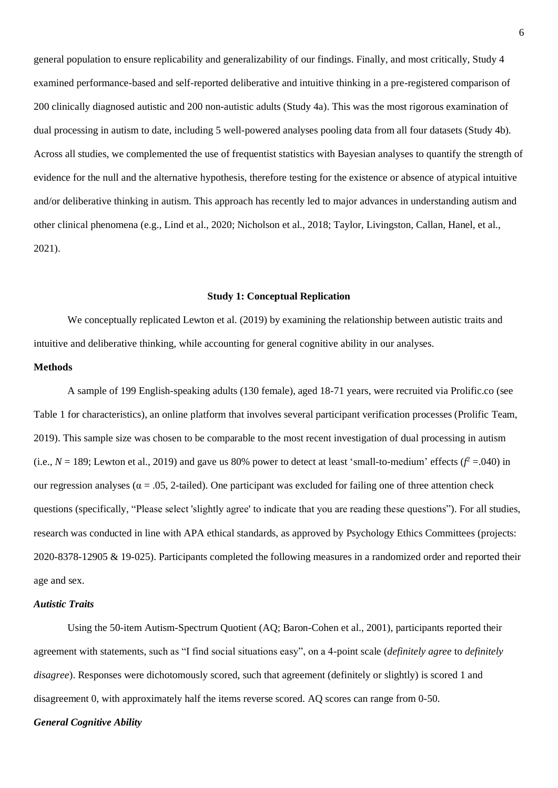general population to ensure replicability and generalizability of our findings. Finally, and most critically, Study 4 examined performance-based and self-reported deliberative and intuitive thinking in a pre-registered comparison of 200 clinically diagnosed autistic and 200 non-autistic adults (Study 4a). This was the most rigorous examination of dual processing in autism to date, including 5 well-powered analyses pooling data from all four datasets (Study 4b). Across all studies, we complemented the use of frequentist statistics with Bayesian analyses to quantify the strength of evidence for the null and the alternative hypothesis, therefore testing for the existence or absence of atypical intuitive and/or deliberative thinking in autism. This approach has recently led to major advances in understanding autism and other clinical phenomena (e.g., Lind et al., 2020; Nicholson et al., 2018; Taylor, Livingston, Callan, Hanel, et al., 2021).

#### **Study 1: Conceptual Replication**

We conceptually replicated Lewton et al. (2019) by examining the relationship between autistic traits and intuitive and deliberative thinking, while accounting for general cognitive ability in our analyses.

## **Methods**

A sample of 199 English-speaking adults (130 female), aged 18-71 years, were recruited via Prolific.co (see Table 1 for characteristics), an online platform that involves several participant verification processes (Prolific Team, 2019). This sample size was chosen to be comparable to the most recent investigation of dual processing in autism (i.e.,  $N = 189$ ; Lewton et al., 2019) and gave us 80% power to detect at least 'small-to-medium' effects ( $f^2 = .040$ ) in our regression analyses ( $\alpha$  = .05, 2-tailed). One participant was excluded for failing one of three attention check questions (specifically, "Please select 'slightly agree' to indicate that you are reading these questions"). For all studies, research was conducted in line with APA ethical standards, as approved by Psychology Ethics Committees (projects: 2020-8378-12905 & 19-025). Participants completed the following measures in a randomized order and reported their age and sex.

#### *Autistic Traits*

Using the 50-item Autism-Spectrum Quotient (AQ; Baron-Cohen et al., 2001), participants reported their agreement with statements, such as "I find social situations easy", on a 4-point scale (*definitely agree* to *definitely disagree*). Responses were dichotomously scored, such that agreement (definitely or slightly) is scored 1 and disagreement 0, with approximately half the items reverse scored. AQ scores can range from 0-50.

#### *General Cognitive Ability*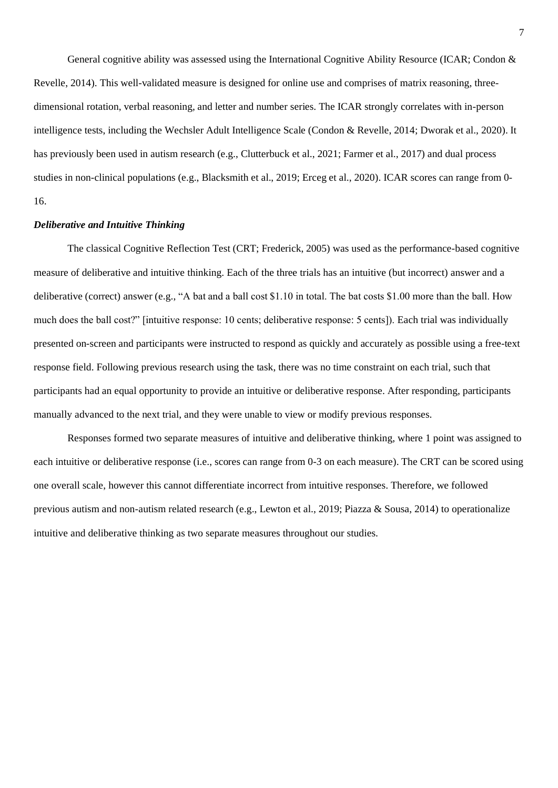General cognitive ability was assessed using the International Cognitive Ability Resource (ICAR; Condon & Revelle, 2014). This well-validated measure is designed for online use and comprises of matrix reasoning, threedimensional rotation, verbal reasoning, and letter and number series. The ICAR strongly correlates with in-person intelligence tests, including the Wechsler Adult Intelligence Scale (Condon & Revelle, 2014; Dworak et al., 2020). It has previously been used in autism research (e.g., Clutterbuck et al., 2021; Farmer et al., 2017) and dual process studies in non-clinical populations (e.g., Blacksmith et al., 2019; Erceg et al., 2020). ICAR scores can range from 0- 16.

## *Deliberative and Intuitive Thinking*

The classical Cognitive Reflection Test (CRT; Frederick, 2005) was used as the performance-based cognitive measure of deliberative and intuitive thinking. Each of the three trials has an intuitive (but incorrect) answer and a deliberative (correct) answer (e.g., "A bat and a ball cost \$1.10 in total. The bat costs \$1.00 more than the ball. How much does the ball cost?" [intuitive response: 10 cents; deliberative response: 5 cents]). Each trial was individually presented on-screen and participants were instructed to respond as quickly and accurately as possible using a free-text response field. Following previous research using the task, there was no time constraint on each trial, such that participants had an equal opportunity to provide an intuitive or deliberative response. After responding, participants manually advanced to the next trial, and they were unable to view or modify previous responses.

Responses formed two separate measures of intuitive and deliberative thinking, where 1 point was assigned to each intuitive or deliberative response (i.e., scores can range from 0-3 on each measure). The CRT can be scored using one overall scale, however this cannot differentiate incorrect from intuitive responses. Therefore, we followed previous autism and non-autism related research (e.g., Lewton et al., 2019; Piazza & Sousa, 2014) to operationalize intuitive and deliberative thinking as two separate measures throughout our studies.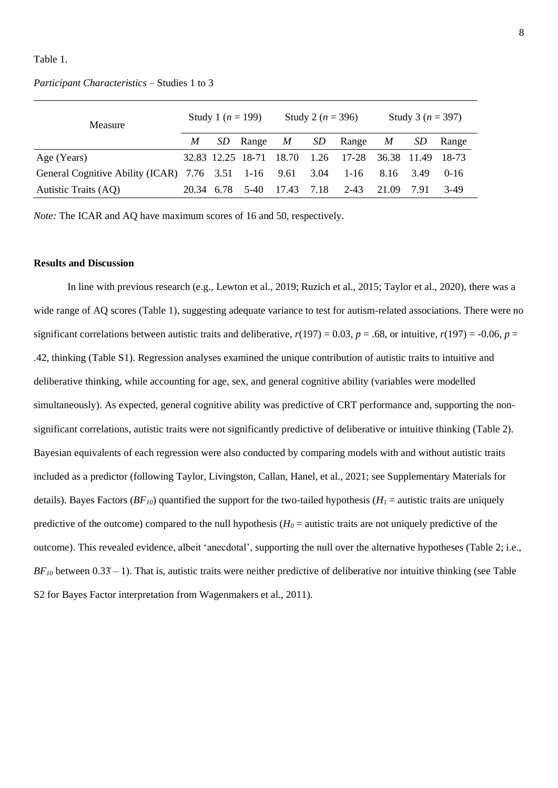### Table 1.

#### *Participant Characteristics* – Studies 1 to 3

| Measure                                                   | Study 1 ( $n = 199$ ) |     |                         | Study 2 ( $n = 396$ ) |      |          | Study 3 ( $n = 397$ ) |           |          |
|-----------------------------------------------------------|-----------------------|-----|-------------------------|-----------------------|------|----------|-----------------------|-----------|----------|
|                                                           | M                     | SD. | Range $M$               |                       | SD   | Range    | M                     | <i>SD</i> | Range    |
| Age (Years)                                               |                       |     | 32.83 12.25 18-71 18.70 |                       | 1.26 | 17-28    | 36.38 11.49 18-73     |           |          |
| General Cognitive Ability (ICAR) 7.76 3.51 1-16 9.61 3.04 |                       |     |                         |                       |      | $1 - 16$ | 8.16 3.49             |           | $0 - 16$ |
| Autistic Traits (AQ)                                      | 20.34 6.78            |     | $5-40$                  | 17.43                 | 7.18 | 2-43     | 21.09                 | 791       | 3-49     |

*Note:* The ICAR and AQ have maximum scores of 16 and 50, respectively.

### **Results and Discussion**

In line with previous research (e.g., Lewton et al., 2019; Ruzich et al., 2015; Taylor et al., 2020), there was a wide range of AQ scores (Table 1), suggesting adequate variance to test for autism-related associations. There were no significant correlations between autistic traits and deliberative,  $r(197) = 0.03$ ,  $p = .68$ , or intuitive,  $r(197) = -0.06$ ,  $p =$ .42, thinking (Table S1). Regression analyses examined the unique contribution of autistic traits to intuitive and deliberative thinking, while accounting for age, sex, and general cognitive ability (variables were modelled simultaneously). As expected, general cognitive ability was predictive of CRT performance and, supporting the nonsignificant correlations, autistic traits were not significantly predictive of deliberative or intuitive thinking (Table 2). Bayesian equivalents of each regression were also conducted by comparing models with and without autistic traits included as a predictor (following Taylor, Livingston, Callan, Hanel, et al., 2021; see Supplementary Materials for details). Bayes Factors ( $BF_{10}$ ) quantified the support for the two-tailed hypothesis ( $H_1$  = autistic traits are uniquely predictive of the outcome) compared to the null hypothesis  $(H_0 = \text{autistic traits are not uniquely predictive of the})$ outcome). This revealed evidence, albeit 'anecdotal', supporting the null over the alternative hypotheses (Table 2; i.e.,  $BF_{10}$  between  $0.33 - 1$ ). That is, autistic traits were neither predictive of deliberative nor intuitive thinking (see Table S2 for Bayes Factor interpretation from Wagenmakers et al., 2011).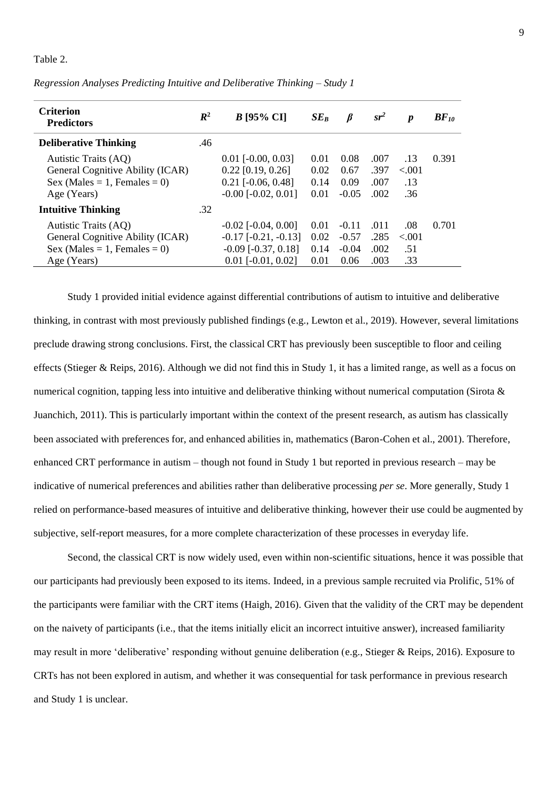Table 2.

| <b>Criterion</b><br><b>Predictors</b> | $\mathbb{R}^2$ | $B$ [95% CI]                 | $SE_B$ | β       | $sr^2$ | $\boldsymbol{p}$ | $BF_{10}$ |
|---------------------------------------|----------------|------------------------------|--------|---------|--------|------------------|-----------|
| <b>Deliberative Thinking</b>          | .46            |                              |        |         |        |                  |           |
| Autistic Traits (AQ)                  |                | $0.01$ [ $-0.00$ , $0.03$ ]  | 0.01   | 0.08    | .007   | .13              | 0.391     |
| General Cognitive Ability (ICAR)      |                | $0.22$ [0.19, 0.26]          | 0.02   | 0.67    | .397   | < 0.01           |           |
| $Sex (Males = 1, Females = 0)$        |                | $0.21$ [ $-0.06$ , $0.48$ ]  | 0.14   | 0.09    | .007   | .13              |           |
| Age (Years)                           |                | $-0.00$ $[-0.02, 0.01]$      | 0.01   | $-0.05$ | .002   | .36              |           |
| <b>Intuitive Thinking</b>             | .32            |                              |        |         |        |                  |           |
| Autistic Traits (AQ)                  |                | $-0.02$ [ $-0.04$ , $0.00$ ] | 0.01   | $-0.11$ | .011   | .08              | 0.701     |
| General Cognitive Ability (ICAR)      |                | $-0.17$ $[-0.21, -0.13]$     | 0.02   | $-0.57$ | .285   | < 0.01           |           |
| Sex (Males = 1, Females = 0)          |                | $-0.09$ $[-0.37, 0.18]$      | 0.14   | $-0.04$ | .002   | .51              |           |
| Age (Years)                           |                | $0.01$ [ $-0.01$ , $0.02$ ]  | 0.01   | 0.06    | .003   | .33              |           |

#### *Regression Analyses Predicting Intuitive and Deliberative Thinking – Study 1*

Study 1 provided initial evidence against differential contributions of autism to intuitive and deliberative thinking, in contrast with most previously published findings (e.g., Lewton et al., 2019). However, several limitations preclude drawing strong conclusions. First, the classical CRT has previously been susceptible to floor and ceiling effects (Stieger & Reips, 2016). Although we did not find this in Study 1, it has a limited range, as well as a focus on numerical cognition, tapping less into intuitive and deliberative thinking without numerical computation (Sirota & Juanchich, 2011). This is particularly important within the context of the present research, as autism has classically been associated with preferences for, and enhanced abilities in, mathematics (Baron-Cohen et al., 2001). Therefore, enhanced CRT performance in autism – though not found in Study 1 but reported in previous research – may be indicative of numerical preferences and abilities rather than deliberative processing *per se*. More generally, Study 1 relied on performance-based measures of intuitive and deliberative thinking, however their use could be augmented by subjective, self-report measures, for a more complete characterization of these processes in everyday life.

Second, the classical CRT is now widely used, even within non-scientific situations, hence it was possible that our participants had previously been exposed to its items. Indeed, in a previous sample recruited via Prolific, 51% of the participants were familiar with the CRT items (Haigh, 2016). Given that the validity of the CRT may be dependent on the naivety of participants (i.e., that the items initially elicit an incorrect intuitive answer), increased familiarity may result in more 'deliberative' responding without genuine deliberation (e.g., Stieger & Reips, 2016). Exposure to CRTs has not been explored in autism, and whether it was consequential for task performance in previous research and Study 1 is unclear.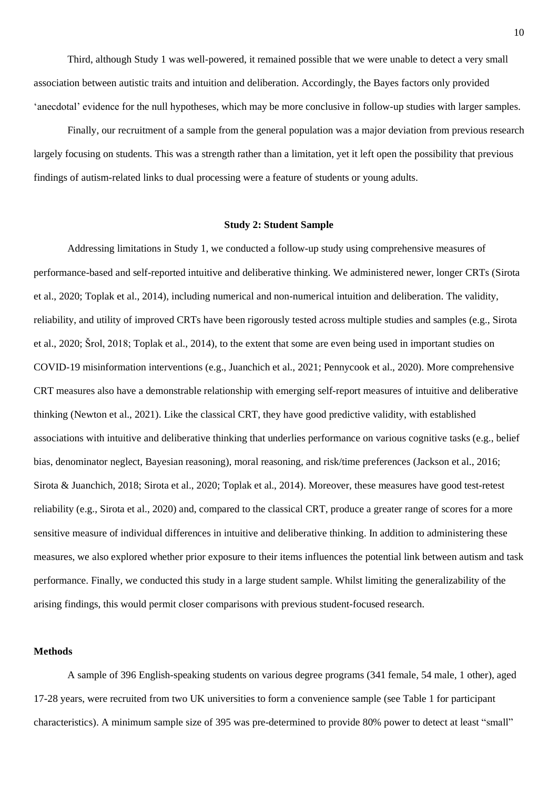Third, although Study 1 was well-powered, it remained possible that we were unable to detect a very small association between autistic traits and intuition and deliberation. Accordingly, the Bayes factors only provided 'anecdotal' evidence for the null hypotheses, which may be more conclusive in follow-up studies with larger samples.

Finally, our recruitment of a sample from the general population was a major deviation from previous research largely focusing on students. This was a strength rather than a limitation, yet it left open the possibility that previous findings of autism-related links to dual processing were a feature of students or young adults.

#### **Study 2: Student Sample**

Addressing limitations in Study 1, we conducted a follow-up study using comprehensive measures of performance-based and self-reported intuitive and deliberative thinking. We administered newer, longer CRTs (Sirota et al., 2020; Toplak et al., 2014), including numerical and non-numerical intuition and deliberation. The validity, reliability, and utility of improved CRTs have been rigorously tested across multiple studies and samples (e.g., Sirota et al., 2020; Šrol, 2018; Toplak et al., 2014), to the extent that some are even being used in important studies on COVID-19 misinformation interventions (e.g., Juanchich et al., 2021; Pennycook et al., 2020). More comprehensive CRT measures also have a demonstrable relationship with emerging self-report measures of intuitive and deliberative thinking (Newton et al., 2021). Like the classical CRT, they have good predictive validity, with established associations with intuitive and deliberative thinking that underlies performance on various cognitive tasks (e.g., belief bias, denominator neglect, Bayesian reasoning), moral reasoning, and risk/time preferences (Jackson et al., 2016; Sirota & Juanchich, 2018; Sirota et al., 2020; Toplak et al., 2014). Moreover, these measures have good test-retest reliability (e.g., Sirota et al., 2020) and, compared to the classical CRT, produce a greater range of scores for a more sensitive measure of individual differences in intuitive and deliberative thinking. In addition to administering these measures, we also explored whether prior exposure to their items influences the potential link between autism and task performance. Finally, we conducted this study in a large student sample. Whilst limiting the generalizability of the arising findings, this would permit closer comparisons with previous student-focused research.

### **Methods**

A sample of 396 English-speaking students on various degree programs (341 female, 54 male, 1 other), aged 17-28 years, were recruited from two UK universities to form a convenience sample (see Table 1 for participant characteristics). A minimum sample size of 395 was pre-determined to provide 80% power to detect at least "small"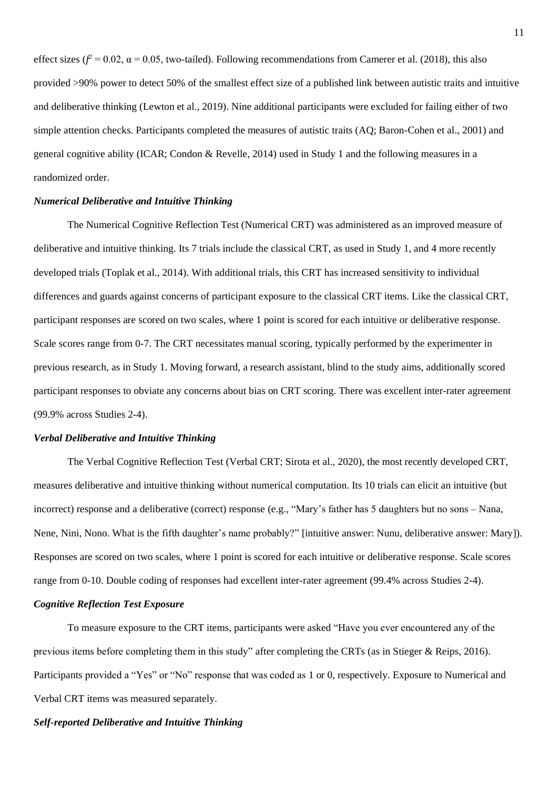effect sizes ( $f^2$  = 0.02,  $\alpha$  = 0.05, two-tailed). Following recommendations from Camerer et al. (2018), this also provided >90% power to detect 50% of the smallest effect size of a published link between autistic traits and intuitive and deliberative thinking (Lewton et al., 2019). Nine additional participants were excluded for failing either of two simple attention checks. Participants completed the measures of autistic traits (AQ; Baron-Cohen et al., 2001) and general cognitive ability (ICAR; Condon & Revelle, 2014) used in Study 1 and the following measures in a randomized order.

### *Numerical Deliberative and Intuitive Thinking*

The Numerical Cognitive Reflection Test (Numerical CRT) was administered as an improved measure of deliberative and intuitive thinking. Its 7 trials include the classical CRT, as used in Study 1, and 4 more recently developed trials (Toplak et al., 2014). With additional trials, this CRT has increased sensitivity to individual differences and guards against concerns of participant exposure to the classical CRT items. Like the classical CRT, participant responses are scored on two scales, where 1 point is scored for each intuitive or deliberative response. Scale scores range from 0-7. The CRT necessitates manual scoring, typically performed by the experimenter in previous research, as in Study 1. Moving forward, a research assistant, blind to the study aims, additionally scored participant responses to obviate any concerns about bias on CRT scoring. There was excellent inter-rater agreement (99.9% across Studies 2-4).

#### *Verbal Deliberative and Intuitive Thinking*

The Verbal Cognitive Reflection Test (Verbal CRT; Sirota et al., 2020), the most recently developed CRT, measures deliberative and intuitive thinking without numerical computation. Its 10 trials can elicit an intuitive (but incorrect) response and a deliberative (correct) response (e.g., "Mary's father has 5 daughters but no sons – Nana, Nene, Nini, Nono. What is the fifth daughter's name probably?" [intuitive answer: Nunu, deliberative answer: Mary]). Responses are scored on two scales, where 1 point is scored for each intuitive or deliberative response. Scale scores range from 0-10. Double coding of responses had excellent inter-rater agreement (99.4% across Studies 2-4).

#### *Cognitive Reflection Test Exposure*

To measure exposure to the CRT items, participants were asked "Have you ever encountered any of the previous items before completing them in this study" after completing the CRTs (as in Stieger & Reips, 2016). Participants provided a "Yes" or "No" response that was coded as 1 or 0, respectively. Exposure to Numerical and Verbal CRT items was measured separately.

#### *Self-reported Deliberative and Intuitive Thinking*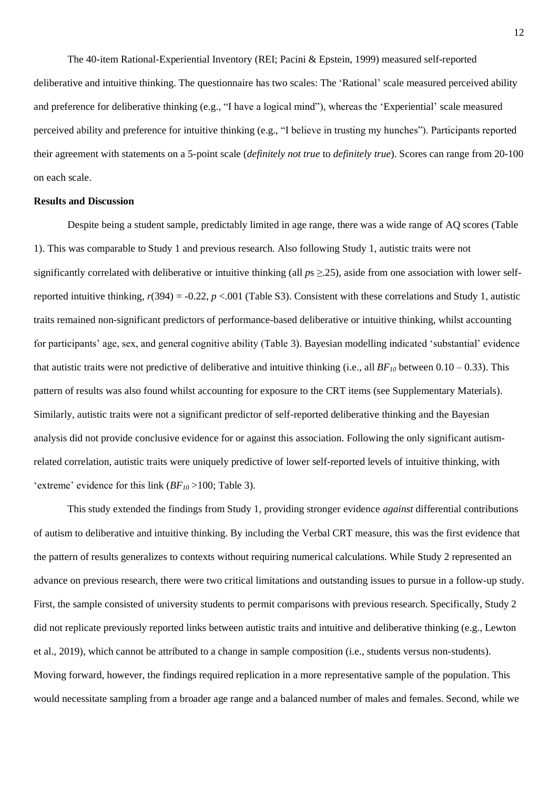The 40-item Rational-Experiential Inventory (REI; Pacini & Epstein, 1999) measured self-reported deliberative and intuitive thinking. The questionnaire has two scales: The 'Rational' scale measured perceived ability and preference for deliberative thinking (e.g., "I have a logical mind"), whereas the 'Experiential' scale measured perceived ability and preference for intuitive thinking (e.g., "I believe in trusting my hunches"). Participants reported their agreement with statements on a 5-point scale (*definitely not true* to *definitely true*). Scores can range from 20-100 on each scale.

#### **Results and Discussion**

Despite being a student sample, predictably limited in age range, there was a wide range of AQ scores (Table 1). This was comparable to Study 1 and previous research. Also following Study 1, autistic traits were not significantly correlated with deliberative or intuitive thinking (all *p*s ≥.25), aside from one association with lower selfreported intuitive thinking,  $r(394) = -0.22$ ,  $p < .001$  (Table S3). Consistent with these correlations and Study 1, autistic traits remained non-significant predictors of performance-based deliberative or intuitive thinking, whilst accounting for participants' age, sex, and general cognitive ability (Table 3). Bayesian modelling indicated 'substantial' evidence that autistic traits were not predictive of deliberative and intuitive thinking (i.e., all  $BF_{10}$  between  $0.10 - 0.33$ ). This ֧֖֖֖֧֚֚֚֚֚֚֚֚֚֚֚֚֚֚֚֚֚֚֚֚֚֚֚֓֝֝֓֞֡֞֟֓֡֓֞֡֡֞֟֓֡֬ pattern of results was also found whilst accounting for exposure to the CRT items (see Supplementary Materials). Similarly, autistic traits were not a significant predictor of self-reported deliberative thinking and the Bayesian analysis did not provide conclusive evidence for or against this association. Following the only significant autismrelated correlation, autistic traits were uniquely predictive of lower self-reported levels of intuitive thinking, with 'extreme' evidence for this link  $(BF_{10} > 100;$  Table 3).

This study extended the findings from Study 1, providing stronger evidence *against* differential contributions of autism to deliberative and intuitive thinking. By including the Verbal CRT measure, this was the first evidence that the pattern of results generalizes to contexts without requiring numerical calculations. While Study 2 represented an advance on previous research, there were two critical limitations and outstanding issues to pursue in a follow-up study. First, the sample consisted of university students to permit comparisons with previous research. Specifically, Study 2 did not replicate previously reported links between autistic traits and intuitive and deliberative thinking (e.g., Lewton et al., 2019), which cannot be attributed to a change in sample composition (i.e., students versus non-students). Moving forward, however, the findings required replication in a more representative sample of the population. This would necessitate sampling from a broader age range and a balanced number of males and females. Second, while we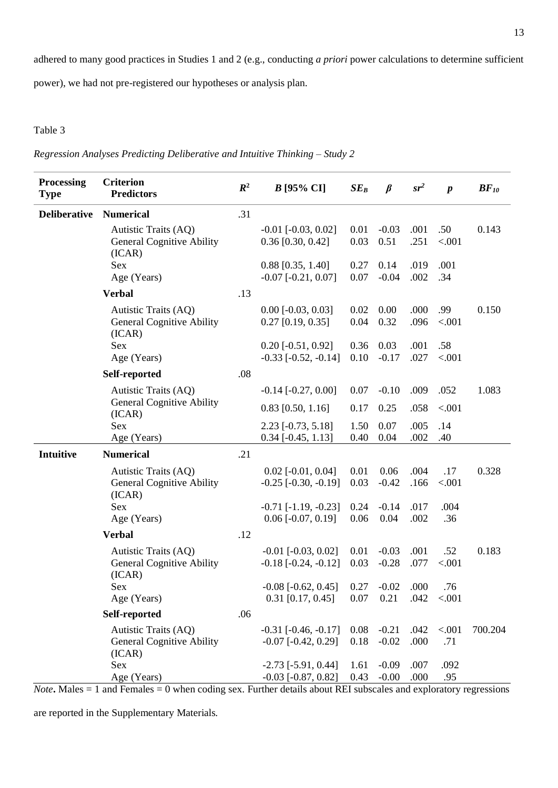adhered to many good practices in Studies 1 and 2 (e.g., conducting *a priori* power calculations to determine sufficient

power), we had not pre-registered our hypotheses or analysis plan.

## Table 3

*Regression Analyses Predicting Deliberative and Intuitive Thinking – Study 2*

| <b>Processing</b><br><b>Type</b> | <b>Criterion</b><br><b>Predictors</b>                              | $\mathbb{R}^2$ | $B$ [95% CI]                                             | $SE_B$       | $\beta$            | $sr^2$       | $\boldsymbol{p}$    | $BF_{10}$ |
|----------------------------------|--------------------------------------------------------------------|----------------|----------------------------------------------------------|--------------|--------------------|--------------|---------------------|-----------|
| <b>Deliberative</b>              | <b>Numerical</b>                                                   | .31            |                                                          |              |                    |              |                     |           |
|                                  | Autistic Traits (AQ)<br><b>General Cognitive Ability</b><br>(ICAR) |                | $-0.01$ [ $-0.03$ , $0.02$ ]<br>$0.36$ [0.30, 0.42]      | 0.01<br>0.03 | $-0.03$<br>0.51    | .001<br>.251 | .50<br>< .001       | 0.143     |
|                                  | Sex<br>Age (Years)                                                 |                | $0.88$ [0.35, 1.40]<br>$-0.07$ $[-0.21, 0.07]$           | 0.27<br>0.07 | 0.14<br>$-0.04$    | .019<br>.002 | .001<br>.34         |           |
|                                  | <b>Verbal</b>                                                      | .13            |                                                          |              |                    |              |                     |           |
|                                  | Autistic Traits (AQ)<br><b>General Cognitive Ability</b><br>(ICAR) |                | $0.00$ [ $-0.03$ , $0.03$ ]<br>$0.27$ [0.19, 0.35]       | 0.02<br>0.04 | 0.00<br>0.32       | .000<br>.096 | .99<br>< .001       | 0.150     |
|                                  | Sex<br>Age (Years)                                                 |                | $0.20$ [ $-0.51$ , $0.92$ ]<br>$-0.33$ $[-0.52, -0.14]$  | 0.36<br>0.10 | 0.03<br>$-0.17$    | .001<br>.027 | .58<br>< .001       |           |
|                                  | Self-reported                                                      | .08            |                                                          |              |                    |              |                     |           |
|                                  | Autistic Traits (AQ)                                               |                | $-0.14$ $[-0.27, 0.00]$                                  | 0.07         | $-0.10$            | .009         | .052                | 1.083     |
|                                  | <b>General Cognitive Ability</b><br>(ICAR)                         |                | $0.83$ [0.50, 1.16]                                      | 0.17         | 0.25               | .058         | < .001              |           |
|                                  | Sex                                                                |                | 2.23 [-0.73, 5.18]                                       | 1.50<br>0.40 | 0.07<br>0.04       | .005<br>.002 | .14                 |           |
|                                  | Age (Years)                                                        |                | $0.34$ [ $-0.45$ , 1.13]                                 |              |                    |              | .40                 |           |
| <b>Intuitive</b>                 | <b>Numerical</b>                                                   | .21            |                                                          |              |                    |              |                     |           |
|                                  | Autistic Traits (AQ)<br><b>General Cognitive Ability</b><br>(ICAR) |                | $0.02$ [-0.01, 0.04]<br>$-0.25$ $[-0.30, -0.19]$         | 0.01<br>0.03 | 0.06<br>$-0.42$    | .004<br>.166 | .17<br>< .001       | 0.328     |
|                                  | Sex                                                                |                | $-0.71$ $[-1.19, -0.23]$                                 | 0.24         | $-0.14$            | .017         | .004                |           |
|                                  | Age (Years)                                                        |                | $0.06$ [ $-0.07, 0.19$ ]                                 | 0.06         | 0.04               | .002         | .36                 |           |
|                                  | <b>Verbal</b>                                                      | .12            |                                                          |              |                    |              |                     |           |
|                                  | Autistic Traits (AQ)<br><b>General Cognitive Ability</b><br>(ICAR) |                | $-0.01$ [ $-0.03$ , $0.02$ ]<br>$-0.18$ $[-0.24, -0.12]$ | 0.01<br>0.03 | $-0.03$<br>$-0.28$ | .001<br>.077 | .52<br>< .001       | 0.183     |
|                                  | Sex                                                                |                | $-0.08$ $[-0.62, 0.45]$                                  | 0.27         | $-0.02$            | .000         | .76                 |           |
|                                  | Age (Years)                                                        |                | $0.31$ [0.17, 0.45]                                      | 0.07         | 0.21               |              | $.042 \quad < .001$ |           |
|                                  | Self-reported                                                      | .06            |                                                          |              |                    |              |                     |           |
|                                  | Autistic Traits (AQ)<br><b>General Cognitive Ability</b><br>(ICAR) |                | $-0.31$ $[-0.46, -0.17]$<br>$-0.07$ [ $-0.42$ , $0.29$ ] | 0.08<br>0.18 | $-0.21$<br>$-0.02$ | .042<br>.000 | < .001<br>.71       | 700.204   |
|                                  | Sex<br>Age (Years)                                                 |                | $-2.73$ [ $-5.91, 0.44$ ]<br>$-0.03$ [ $-0.87, 0.82$ ]   | 1.61<br>0.43 | $-0.09$<br>$-0.00$ | .007<br>.000 | .092<br>.95         |           |

*Note***.** Males  $= 1$  and Females  $= 0$  when coding sex. Further details about REI subscales and exploratory regressions

are reported in the Supplementary Materials*.*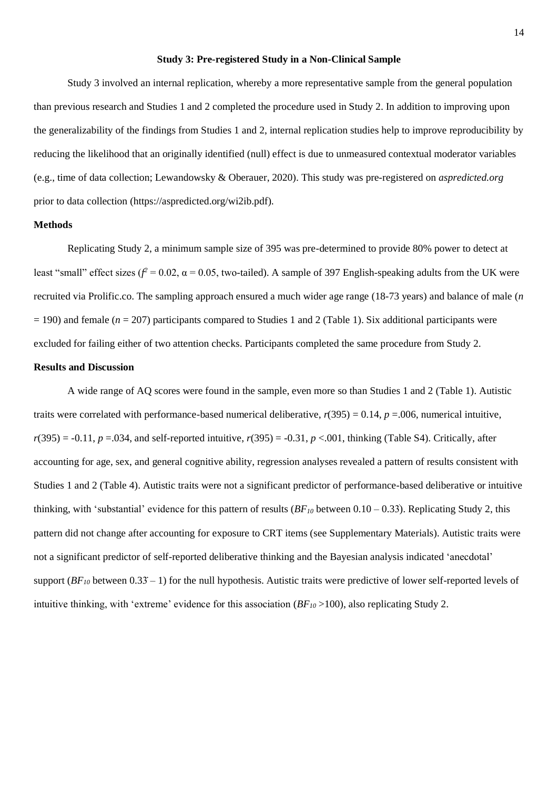### **Study 3: Pre-registered Study in a Non-Clinical Sample**

Study 3 involved an internal replication, whereby a more representative sample from the general population than previous research and Studies 1 and 2 completed the procedure used in Study 2. In addition to improving upon the generalizability of the findings from Studies 1 and 2, internal replication studies help to improve reproducibility by reducing the likelihood that an originally identified (null) effect is due to unmeasured contextual moderator variables (e.g., time of data collection; Lewandowsky & Oberauer, 2020). This study was pre-registered on *aspredicted.org* prior to data collection (https://aspredicted.org/wi2ib.pdf).

## **Methods**

Replicating Study 2, a minimum sample size of 395 was pre-determined to provide 80% power to detect at least "small" effect sizes ( $f^2 = 0.02$ ,  $\alpha = 0.05$ , two-tailed). A sample of 397 English-speaking adults from the UK were recruited via Prolific.co. The sampling approach ensured a much wider age range (18-73 years) and balance of male (*n* = 190) and female (*n* = 207) participants compared to Studies 1 and 2 (Table 1). Six additional participants were excluded for failing either of two attention checks. Participants completed the same procedure from Study 2.

## **Results and Discussion**

A wide range of AQ scores were found in the sample, even more so than Studies 1 and 2 (Table 1). Autistic traits were correlated with performance-based numerical deliberative,  $r(395) = 0.14$ ,  $p = .006$ , numerical intuitive,  $r(395) = -0.11$ ,  $p = .034$ , and self-reported intuitive,  $r(395) = -0.31$ ,  $p < .001$ , thinking (Table S4). Critically, after accounting for age, sex, and general cognitive ability, regression analyses revealed a pattern of results consistent with Studies 1 and 2 (Table 4). Autistic traits were not a significant predictor of performance-based deliberative or intuitive thinking, with 'substantial' evidence for this pattern of results (*BF<sup>10</sup>* between 0.10 – 0.33 ). Replicating Study 2, this ׅׅ֚֡֡֡֡֡֡֡֝֬֝ pattern did not change after accounting for exposure to CRT items (see Supplementary Materials). Autistic traits were not a significant predictor of self-reported deliberative thinking and the Bayesian analysis indicated 'anecdotal' support  $(BF_{10}$  between  $0.33 - 1$ ) for the null hypothesis. Autistic traits were predictive of lower self-reported levels of intuitive thinking, with 'extreme' evidence for this association  $(BF_{10} > 100)$ , also replicating Study 2.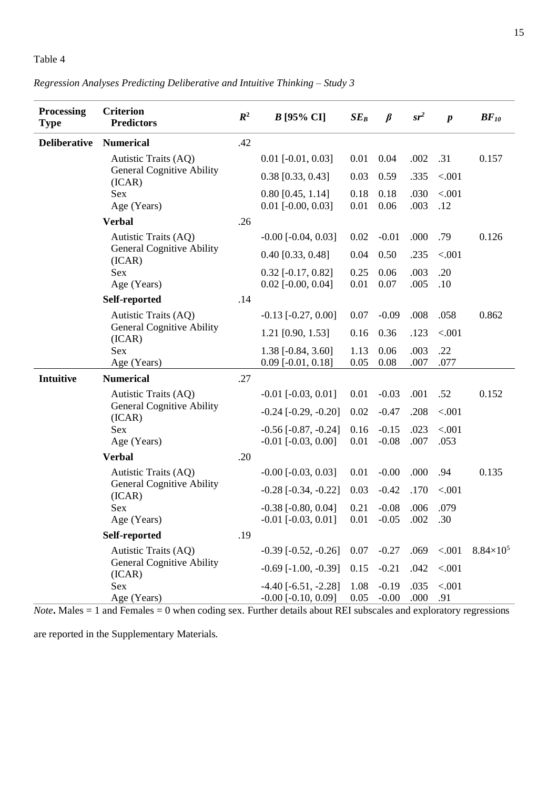## Table 4

# *Regression Analyses Predicting Deliberative and Intuitive Thinking – Study 3*

| <b>Processing</b><br><b>Type</b> | <b>Criterion</b><br><b>Predictors</b>      | $R^2$ | $B$ [95% CI]                  | $SE_B$ | $\beta$       | $sr^2$     | $\boldsymbol{p}$ | $BF_{10}$          |
|----------------------------------|--------------------------------------------|-------|-------------------------------|--------|---------------|------------|------------------|--------------------|
| <b>Deliberative</b>              | <b>Numerical</b>                           | .42   |                               |        |               |            |                  |                    |
|                                  | Autistic Traits (AQ)                       |       | $0.01$ [ $-0.01$ , $0.03$ ]   | 0.01   | 0.04          | .002       | .31              | 0.157              |
|                                  | <b>General Cognitive Ability</b><br>(ICAR) |       | $0.38$ [0.33, 0.43]           | 0.03   | 0.59          | .335       | < .001           |                    |
|                                  | Sex                                        |       | $0.80$ [0.45, 1.14]           | 0.18   | 0.18          | .030       | < .001           |                    |
|                                  | Age (Years)                                |       | $0.01$ [ $-0.00, 0.03$ ]      | 0.01   | 0.06          | .003       | .12              |                    |
|                                  | <b>Verbal</b>                              | .26   |                               |        |               |            |                  |                    |
|                                  | Autistic Traits (AQ)                       |       | $-0.00$ $[-0.04, 0.03]$       | 0.02   | $-0.01$       | .000       | .79              | 0.126              |
|                                  | <b>General Cognitive Ability</b><br>(ICAR) |       | $0.40$ [0.33, 0.48]           | 0.04   | 0.50          | .235       | < .001           |                    |
|                                  | Sex                                        |       | $0.32$ [-0.17, 0.82]          | 0.25   | 0.06          | .003       | .20              |                    |
|                                  | Age (Years)                                |       | $0.02$ [-0.00, 0.04]          | 0.01   | 0.07          | .005       | .10              |                    |
|                                  | Self-reported                              | .14   |                               |        |               |            |                  |                    |
|                                  | Autistic Traits (AQ)                       |       | $-0.13$ [ $-0.27, 0.00$ ]     | 0.07   | $-0.09$       | .008       | .058             | 0.862              |
|                                  | <b>General Cognitive Ability</b><br>(ICAR) |       | 1.21 [0.90, 1.53]             | 0.16   | 0.36          | .123       | < .001           |                    |
|                                  | Sex                                        |       | 1.38 [-0.84, 3.60]            | 1.13   | 0.06          | .003       | .22              |                    |
|                                  | Age (Years)                                |       | $0.09$ [-0.01, 0.18]          | 0.05   | 0.08          | .007       | .077             |                    |
| <b>Intuitive</b>                 | <b>Numerical</b>                           | .27   |                               |        |               |            |                  |                    |
|                                  | Autistic Traits (AQ)                       |       | $-0.01$ $[-0.03, 0.01]$       | 0.01   | $-0.03$       | .001       | .52              | 0.152              |
|                                  | <b>General Cognitive Ability</b><br>(ICAR) |       | $-0.24$ $[-0.29, -0.20]$      | 0.02   | $-0.47$       | .208       | < .001           |                    |
|                                  | <b>Sex</b>                                 |       | $-0.56$ $[-0.87, -0.24]$      | 0.16   | $-0.15$       | .023       | < .001           |                    |
|                                  | Age (Years)                                |       | $-0.01$ $[-0.03, 0.00]$       | 0.01   | $-0.08$       | .007       | .053             |                    |
|                                  | <b>Verbal</b>                              | .20   |                               |        |               |            |                  |                    |
|                                  | Autistic Traits (AQ)                       |       | $-0.00$ $[-0.03, 0.03]$       | 0.01   | $-0.00$       | .000       | .94              | 0.135              |
|                                  | <b>General Cognitive Ability</b><br>(ICAR) |       | $-0.28$ $[-0.34, -0.22]$      | 0.03   | $-0.42$       | .170       | < .001           |                    |
|                                  | Sex                                        |       | $-0.38$ [ $-0.80$ , $0.04$ ]  | 0.21   | $-0.08$       | .006       | .079             |                    |
|                                  | Age (Years)                                |       | $-0.01$ $[-0.03, 0.01]$       |        | $0.01 - 0.05$ | $.002$ .30 |                  |                    |
|                                  | Self-reported                              | .19   |                               |        |               |            |                  |                    |
|                                  | Autistic Traits (AQ)                       |       | $-0.39$ $[-0.52, -0.26]$      | 0.07   | $-0.27$       | .069       | < .001           | $8.84\times10^{5}$ |
|                                  | <b>General Cognitive Ability</b><br>(ICAR) |       | $-0.69$ $[-1.00, -0.39]$      | 0.15   | $-0.21$       | .042       | < .001           |                    |
|                                  | Sex                                        |       | $-4.40$ [ $-6.51$ , $-2.28$ ] | 1.08   | $-0.19$       | .035       | < .001           |                    |
|                                  | Age (Years)                                |       | $-0.00$ [ $-0.10$ , $0.09$ ]  | 0.05   | $-0.00$       | .000       | .91              |                    |

 $$ 

are reported in the Supplementary Materials*.*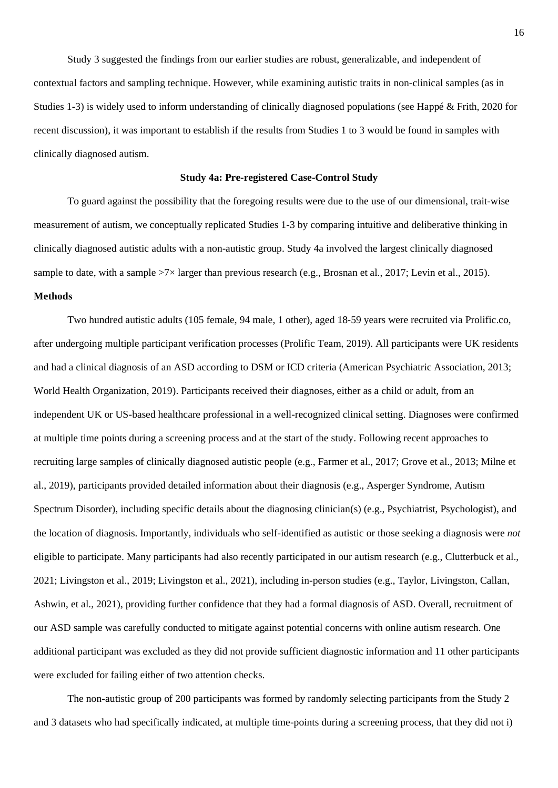Study 3 suggested the findings from our earlier studies are robust, generalizable, and independent of contextual factors and sampling technique. However, while examining autistic traits in non-clinical samples (as in Studies 1-3) is widely used to inform understanding of clinically diagnosed populations (see Happé & Frith, 2020 for recent discussion), it was important to establish if the results from Studies 1 to 3 would be found in samples with clinically diagnosed autism.

#### **Study 4a: Pre-registered Case-Control Study**

To guard against the possibility that the foregoing results were due to the use of our dimensional, trait-wise measurement of autism, we conceptually replicated Studies 1-3 by comparing intuitive and deliberative thinking in clinically diagnosed autistic adults with a non-autistic group. Study 4a involved the largest clinically diagnosed sample to date, with a sample  $>7\times$  larger than previous research (e.g., Brosnan et al., 2017; Levin et al., 2015).

## **Methods**

Two hundred autistic adults (105 female, 94 male, 1 other), aged 18-59 years were recruited via Prolific.co, after undergoing multiple participant verification processes (Prolific Team, 2019). All participants were UK residents and had a clinical diagnosis of an ASD according to DSM or ICD criteria (American Psychiatric Association, 2013; World Health Organization, 2019). Participants received their diagnoses, either as a child or adult, from an independent UK or US-based healthcare professional in a well-recognized clinical setting. Diagnoses were confirmed at multiple time points during a screening process and at the start of the study. Following recent approaches to recruiting large samples of clinically diagnosed autistic people (e.g., Farmer et al., 2017; Grove et al., 2013; Milne et al., 2019), participants provided detailed information about their diagnosis (e.g., Asperger Syndrome, Autism Spectrum Disorder), including specific details about the diagnosing clinician(s) (e.g., Psychiatrist, Psychologist), and the location of diagnosis. Importantly, individuals who self-identified as autistic or those seeking a diagnosis were *not* eligible to participate. Many participants had also recently participated in our autism research (e.g., Clutterbuck et al., 2021; Livingston et al., 2019; Livingston et al., 2021), including in-person studies (e.g., Taylor, Livingston, Callan, Ashwin, et al., 2021), providing further confidence that they had a formal diagnosis of ASD. Overall, recruitment of our ASD sample was carefully conducted to mitigate against potential concerns with online autism research. One additional participant was excluded as they did not provide sufficient diagnostic information and 11 other participants were excluded for failing either of two attention checks.

The non-autistic group of 200 participants was formed by randomly selecting participants from the Study 2 and 3 datasets who had specifically indicated, at multiple time-points during a screening process, that they did not i)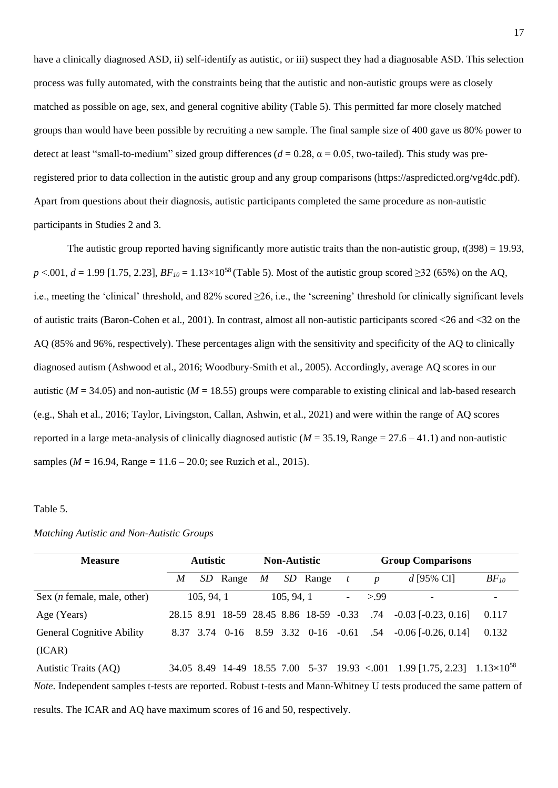have a clinically diagnosed ASD, ii) self-identify as autistic, or iii) suspect they had a diagnosable ASD. This selection process was fully automated, with the constraints being that the autistic and non-autistic groups were as closely matched as possible on age, sex, and general cognitive ability (Table 5). This permitted far more closely matched groups than would have been possible by recruiting a new sample. The final sample size of 400 gave us 80% power to detect at least "small-to-medium" sized group differences ( $d = 0.28$ ,  $\alpha = 0.05$ , two-tailed). This study was preregistered prior to data collection in the autistic group and any group comparisons (https://aspredicted.org/vg4dc.pdf). Apart from questions about their diagnosis, autistic participants completed the same procedure as non-autistic participants in Studies 2 and 3.

The autistic group reported having significantly more autistic traits than the non-autistic group,  $t(398) = 19.93$ ,  $p \le 0.001$ ,  $d = 1.99$  [1.75, 2.23],  $BF_{10} = 1.13 \times 10^{58}$  (Table 5). Most of the autistic group scored  $\ge 32$  (65%) on the AQ, i.e., meeting the 'clinical' threshold, and 82% scored ≥26, i.e., the 'screening' threshold for clinically significant levels of autistic traits (Baron-Cohen et al., 2001). In contrast, almost all non-autistic participants scored <26 and <32 on the AQ (85% and 96%, respectively). These percentages align with the sensitivity and specificity of the AQ to clinically diagnosed autism (Ashwood et al., 2016; Woodbury-Smith et al., 2005). Accordingly, average AQ scores in our autistic ( $M = 34.05$ ) and non-autistic ( $M = 18.55$ ) groups were comparable to existing clinical and lab-based research (e.g., Shah et al., 2016; Taylor, Livingston, Callan, Ashwin, et al., 2021) and were within the range of AQ scores reported in a large meta-analysis of clinically diagnosed autistic  $(M = 35.19$ . Range  $= 27.6 - 41.1$ ) and non-autistic samples ( $M = 16.94$ , Range = 11.6 – 20.0; see Ruzich et al., 2015).

### Table 5.

|  |  |  | Matching Autistic and Non-Autistic Groups |  |
|--|--|--|-------------------------------------------|--|
|--|--|--|-------------------------------------------|--|

| <b>Measure</b>                                                                                                               |   | <b>Autistic</b> |                                         |   | <b>Non-Autistic</b><br><b>Group Comparisons</b> |          |                          |                  |                                                                                        |           |
|------------------------------------------------------------------------------------------------------------------------------|---|-----------------|-----------------------------------------|---|-------------------------------------------------|----------|--------------------------|------------------|----------------------------------------------------------------------------------------|-----------|
|                                                                                                                              | M |                 | SD Range                                | M |                                                 | SD Range | $\mathfrak{t}$           | $\boldsymbol{p}$ | d [95% CI]                                                                             | $BF_{10}$ |
| Sex $(n \text{ female}, \text{male}, \text{other})$                                                                          |   | 105, 94, 1      |                                         |   | 105, 94, 1                                      |          | $\overline{\phantom{0}}$ | > 99             |                                                                                        | -         |
| Age (Years)                                                                                                                  |   |                 | 28.15 8.91 18-59 28.45 8.86 18-59 -0.33 |   |                                                 |          |                          |                  | $.74$ $-0.03$ $[-0.23, 0.16]$                                                          | 0.117     |
| <b>General Cognitive Ability</b>                                                                                             |   |                 | 8.37 3.74 0-16 8.59 3.32 0-16 -0.61     |   |                                                 |          |                          |                  | $.54 -0.06$ [-0.26, 0.14]                                                              | 0.132     |
| (ICAR)                                                                                                                       |   |                 |                                         |   |                                                 |          |                          |                  |                                                                                        |           |
| Autistic Traits (AQ)                                                                                                         |   |                 |                                         |   |                                                 |          |                          |                  | $34.05$ 8.49 14-49 18.55 7.00 5-37 19.93 < 001 1.99 [1.75, 2.23] 1.13×10 <sup>58</sup> |           |
| <i>Note</i> . Independent samples t-tests are reported. Robust t-tests and Mann-Whitney U tests produced the same pattern of |   |                 |                                         |   |                                                 |          |                          |                  |                                                                                        |           |

results. The ICAR and AQ have maximum scores of 16 and 50, respectively.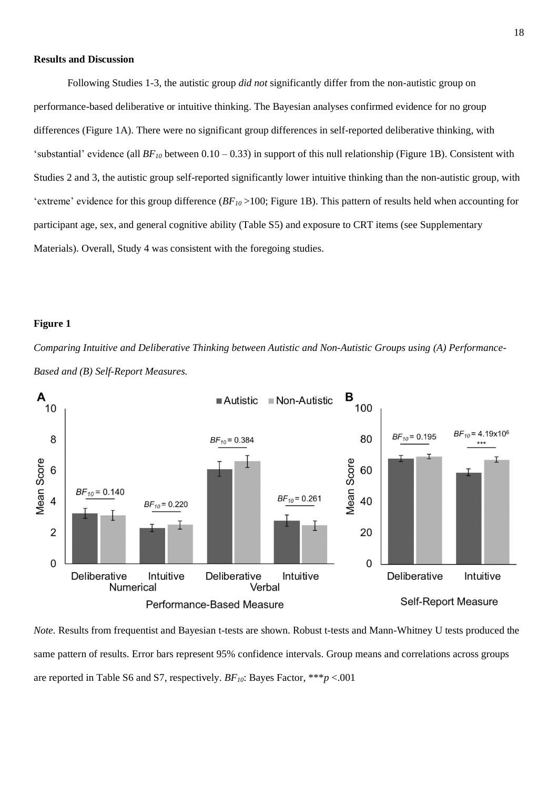### **Results and Discussion**

Following Studies 1-3, the autistic group *did not* significantly differ from the non-autistic group on performance-based deliberative or intuitive thinking. The Bayesian analyses confirmed evidence for no group differences (Figure 1A). There were no significant group differences in self-reported deliberative thinking, with 'substantial' evidence (all  $BF_{10}$  between  $0.10 - 0.33$ ) in support of this null relationship (Figure 1B). Consistent with ֧֦֧֖֚֚֓֝֝֬ Studies 2 and 3, the autistic group self-reported significantly lower intuitive thinking than the non-autistic group, with 'extreme' evidence for this group difference (*BF<sup>10</sup>* >100; Figure 1B). This pattern of results held when accounting for participant age, sex, and general cognitive ability (Table S5) and exposure to CRT items (see Supplementary Materials). Overall, Study 4 was consistent with the foregoing studies.

## **Figure 1**

*Comparing Intuitive and Deliberative Thinking between Autistic and Non-Autistic Groups using (A) Performance-Based and (B) Self-Report Measures.*



*Note.* Results from frequentist and Bayesian t-tests are shown. Robust t-tests and Mann-Whitney U tests produced the same pattern of results. Error bars represent 95% confidence intervals. Group means and correlations across groups are reported in Table S6 and S7, respectively. *BF10*: Bayes Factor, \*\*\**p* <.001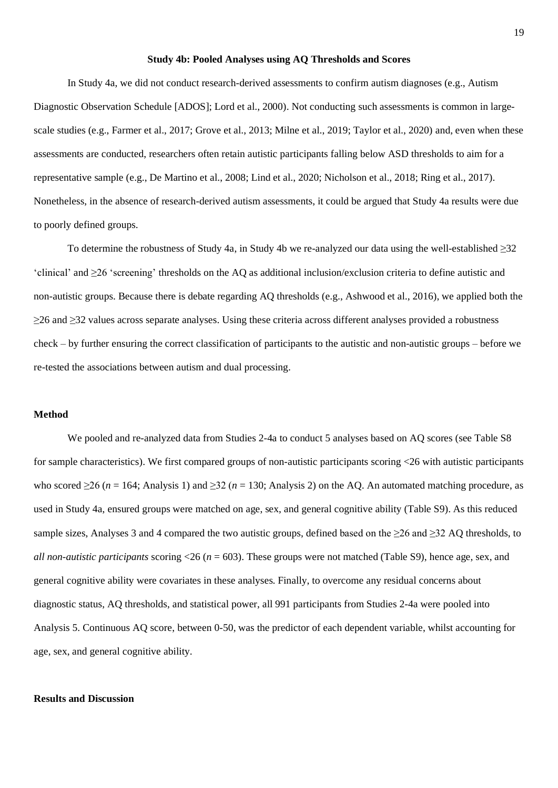#### **Study 4b: Pooled Analyses using AQ Thresholds and Scores**

In Study 4a, we did not conduct research-derived assessments to confirm autism diagnoses (e.g., Autism Diagnostic Observation Schedule [ADOS]; Lord et al., 2000). Not conducting such assessments is common in largescale studies (e.g., Farmer et al., 2017; Grove et al., 2013; Milne et al., 2019; Taylor et al., 2020) and, even when these assessments are conducted, researchers often retain autistic participants falling below ASD thresholds to aim for a representative sample (e.g., De Martino et al., 2008; Lind et al., 2020; Nicholson et al., 2018; Ring et al., 2017). Nonetheless, in the absence of research-derived autism assessments, it could be argued that Study 4a results were due to poorly defined groups.

To determine the robustness of Study 4a, in Study 4b we re-analyzed our data using the well-established ≥32 'clinical' and ≥26 'screening' thresholds on the AQ as additional inclusion/exclusion criteria to define autistic and non-autistic groups. Because there is debate regarding AQ thresholds (e.g., Ashwood et al., 2016), we applied both the ≥26 and ≥32 values across separate analyses. Using these criteria across different analyses provided a robustness check – by further ensuring the correct classification of participants to the autistic and non-autistic groups – before we re-tested the associations between autism and dual processing.

## **Method**

We pooled and re-analyzed data from Studies 2-4a to conduct 5 analyses based on AQ scores (see Table S8 for sample characteristics). We first compared groups of non-autistic participants scoring <26 with autistic participants who scored  $\geq$ 26 (*n* = 164; Analysis 1) and  $\geq$ 32 (*n* = 130; Analysis 2) on the AQ. An automated matching procedure, as used in Study 4a, ensured groups were matched on age, sex, and general cognitive ability (Table S9). As this reduced sample sizes, Analyses 3 and 4 compared the two autistic groups, defined based on the  $\geq$ 26 and  $\geq$ 32 AQ thresholds, to *all non-autistic participants* scoring  $\langle 26 (n = 603) \rangle$ . These groups were not matched (Table S9), hence age, sex, and general cognitive ability were covariates in these analyses. Finally, to overcome any residual concerns about diagnostic status, AQ thresholds, and statistical power, all 991 participants from Studies 2-4a were pooled into Analysis 5. Continuous AQ score, between 0-50, was the predictor of each dependent variable, whilst accounting for age, sex, and general cognitive ability.

#### **Results and Discussion**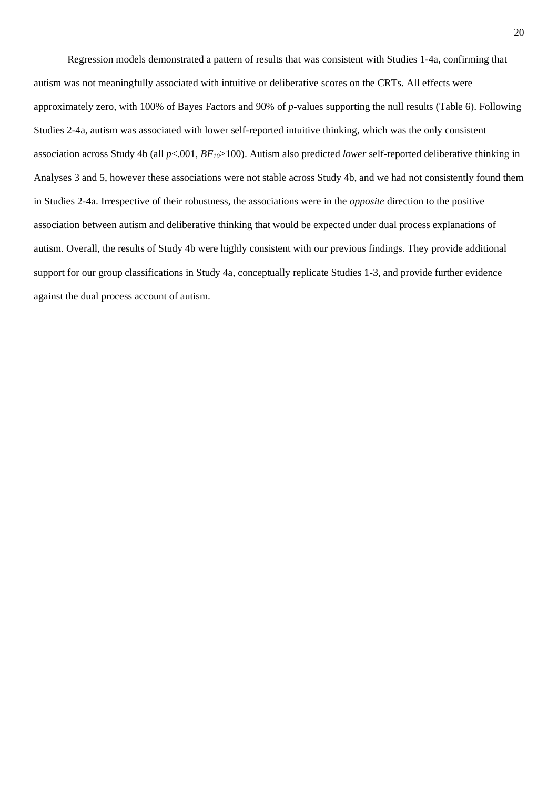Regression models demonstrated a pattern of results that was consistent with Studies 1-4a, confirming that autism was not meaningfully associated with intuitive or deliberative scores on the CRTs. All effects were approximately zero, with 100% of Bayes Factors and 90% of *p*-values supporting the null results (Table 6). Following Studies 2-4a, autism was associated with lower self-reported intuitive thinking, which was the only consistent association across Study 4b (all *p*<.001, *BF10*>100). Autism also predicted *lower* self-reported deliberative thinking in Analyses 3 and 5, however these associations were not stable across Study 4b, and we had not consistently found them in Studies 2-4a. Irrespective of their robustness, the associations were in the *opposite* direction to the positive association between autism and deliberative thinking that would be expected under dual process explanations of autism. Overall, the results of Study 4b were highly consistent with our previous findings. They provide additional support for our group classifications in Study 4a, conceptually replicate Studies 1-3, and provide further evidence against the dual process account of autism.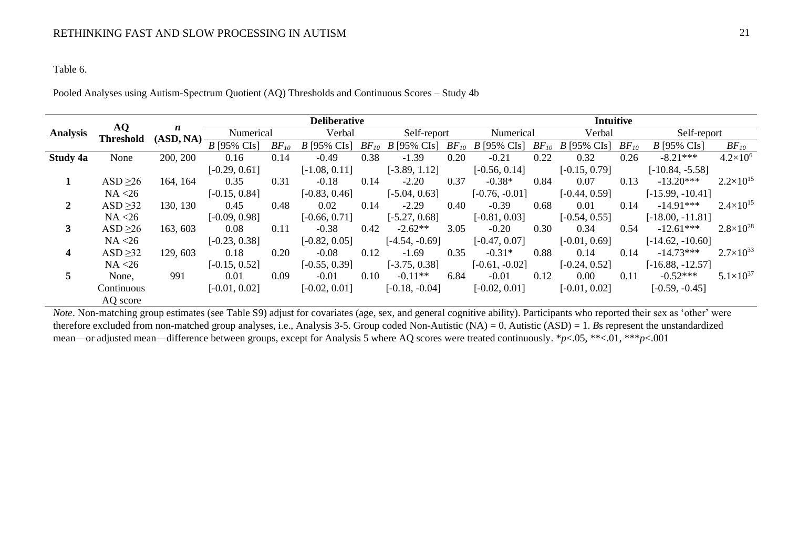## Table 6.

Pooled Analyses using Autism-Spectrum Quotient (AQ) Thresholds and Continuous Scores – Study 4b

|                 |                        |                               |                 |           | <b>Intuitive</b><br><b>Deliberative</b> |      |                       |      |                       |      |                       |           |                    |                      |
|-----------------|------------------------|-------------------------------|-----------------|-----------|-----------------------------------------|------|-----------------------|------|-----------------------|------|-----------------------|-----------|--------------------|----------------------|
| <b>Analysis</b> | AQ<br><b>Threshold</b> | $\boldsymbol{n}$<br>(ASD, NA) | Numerical       |           | Verbal                                  |      | Self-report           |      | Numerical             |      | Verbal                |           | Self-report        |                      |
|                 |                        |                               | $B$ [95% CIs]   | $BF_{10}$ | $B$ [95% CIs]                           |      | $BF_{10}$ B [95% CIs] |      | $BF_{10}$ B [95% CIs] |      | $BF_{10}$ B [95% CIs] | $BF_{10}$ | $B$ [95% CIs]      | $BF_{10}$            |
| Study 4a        | None                   | 200, 200                      | 0.16            | 0.14      | $-0.49$                                 | 0.38 | $-1.39$               | 0.20 | $-0.21$               | 0.22 | 0.32                  | 0.26      | $-8.21***$         | $4.2\times10^{6}$    |
|                 |                        |                               | $[-0.29, 0.61]$ |           | $[-1.08, 0.11]$                         |      | $[-3.89, 1.12]$       |      | $[-0.56, 0.14]$       |      | $[-0.15, 0.79]$       |           | $[-10.84, -5.58]$  |                      |
|                 | ASD > 26               | 164, 164                      | 0.35            | 0.31      | $-0.18$                                 | 0.14 | $-2.20$               | 0.37 | $-0.38*$              | 0.84 | 0.07                  | 0.13      | $-13.20***$        | $2.2 \times 10^{15}$ |
|                 | NA < 26                |                               | $[-0.15, 0.84]$ |           | $[-0.83, 0.46]$                         |      | $[-5.04, 0.63]$       |      | $[-0.76, -0.01]$      |      | $[-0.44, 0.59]$       |           | $[-15.99, -10.41]$ |                      |
| 2               | ASD $\geq$ 32          | 130, 130                      | 0.45            | 0.48      | 0.02                                    | 0.14 | $-2.29$               | 0.40 | $-0.39$               | 0.68 | 0.01                  | 0.14      | $-14.91***$        | $2.4\times10^{15}$   |
|                 | NA < 26                |                               | $[-0.09, 0.98]$ |           | $[-0.66, 0.71]$                         |      | $[-5.27, 0.68]$       |      | $[-0.81, 0.03]$       |      | $[-0.54, 0.55]$       |           | $[-18.00, -11.81]$ |                      |
| 3               | ASD $\geq 26$          | 163, 603                      | 0.08            | 0.11      | $-0.38$                                 | 0.42 | $-2.62**$             | 3.05 | $-0.20$               | 0.30 | 0.34                  | 0.54      | $-12.61***$        | $2.8\times10^{28}$   |
|                 | NA < 26                |                               | $[-0.23, 0.38]$ |           | $[-0.82, 0.05]$                         |      | $[-4.54, -0.69]$      |      | $[-0.47, 0.07]$       |      | $[-0.01, 0.69]$       |           | $[-14.62, -10.60]$ |                      |
| 4               | ASD $\geq$ 32          | 129, 603                      | 0.18            | 0.20      | $-0.08$                                 | 0.12 | $-1.69$               | 0.35 | $-0.31*$              | 0.88 | 0.14                  | 0.14      | $-14.73***$        | $2.7\times10^{33}$   |
|                 | NA < 26                |                               | $[-0.15, 0.52]$ |           | $[-0.55, 0.39]$                         |      | $[-3.75, 0.38]$       |      | $[-0.61, -0.02]$      |      | $[-0.24, 0.52]$       |           | $[-16.88, -12.57]$ |                      |
| 5.              | None,                  | 991                           | 0.01            | 0.09      | $-0.01$                                 | 0.10 | $-0.11**$             | 6.84 | $-0.01$               | 0.12 | $0.00\,$              | 0.11      | $-0.52***$         | $5.1\times10^{37}$   |
|                 | Continuous             |                               | $[-0.01, 0.02]$ |           | $[-0.02, 0.01]$                         |      | $[-0.18, -0.04]$      |      | $[-0.02, 0.01]$       |      | $[-0.01, 0.02]$       |           | $[-0.59, -0.45]$   |                      |
|                 | AQ score               |                               |                 |           |                                         |      |                       |      |                       |      |                       |           |                    |                      |

*Note*. Non-matching group estimates (see Table S9) adjust for covariates (age, sex, and general cognitive ability). Participants who reported their sex as 'other' were therefore excluded from non-matched group analyses, i.e., Analysis 3-5. Group coded Non-Autistic (NA) = 0, Autistic (ASD) = 1. *B*s represent the unstandardized mean—or adjusted mean—difference between groups, except for Analysis 5 where AQ scores were treated continuously. \**p*<.05, \*\*<.01, \*\*\**p*<.001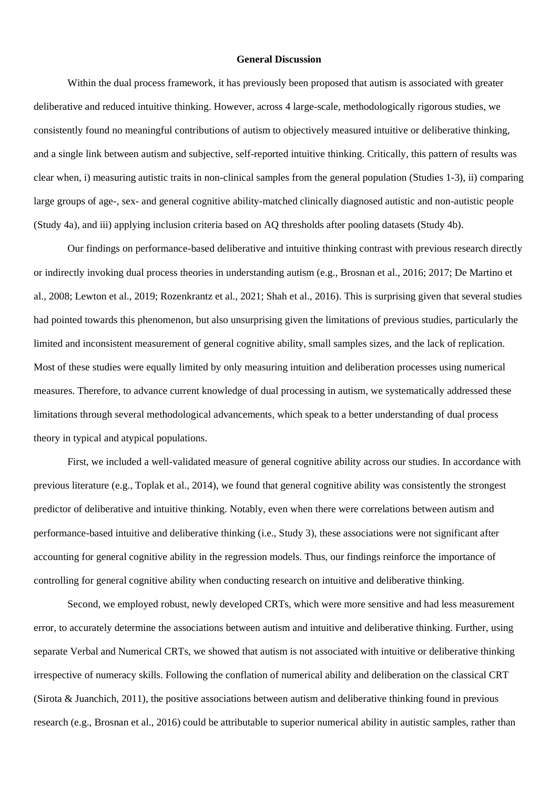### **General Discussion**

Within the dual process framework, it has previously been proposed that autism is associated with greater deliberative and reduced intuitive thinking. However, across 4 large-scale, methodologically rigorous studies, we consistently found no meaningful contributions of autism to objectively measured intuitive or deliberative thinking, and a single link between autism and subjective, self-reported intuitive thinking. Critically, this pattern of results was clear when, i) measuring autistic traits in non-clinical samples from the general population (Studies 1-3), ii) comparing large groups of age-, sex- and general cognitive ability-matched clinically diagnosed autistic and non-autistic people (Study 4a), and iii) applying inclusion criteria based on AQ thresholds after pooling datasets (Study 4b).

Our findings on performance-based deliberative and intuitive thinking contrast with previous research directly or indirectly invoking dual process theories in understanding autism (e.g., Brosnan et al., 2016; 2017; De Martino et al., 2008; Lewton et al., 2019; Rozenkrantz et al., 2021; Shah et al., 2016). This is surprising given that several studies had pointed towards this phenomenon, but also unsurprising given the limitations of previous studies, particularly the limited and inconsistent measurement of general cognitive ability, small samples sizes, and the lack of replication. Most of these studies were equally limited by only measuring intuition and deliberation processes using numerical measures. Therefore, to advance current knowledge of dual processing in autism, we systematically addressed these limitations through several methodological advancements, which speak to a better understanding of dual process theory in typical and atypical populations.

First, we included a well-validated measure of general cognitive ability across our studies. In accordance with previous literature (e.g., Toplak et al., 2014), we found that general cognitive ability was consistently the strongest predictor of deliberative and intuitive thinking. Notably, even when there were correlations between autism and performance-based intuitive and deliberative thinking (i.e., Study 3), these associations were not significant after accounting for general cognitive ability in the regression models. Thus, our findings reinforce the importance of controlling for general cognitive ability when conducting research on intuitive and deliberative thinking.

Second, we employed robust, newly developed CRTs, which were more sensitive and had less measurement error, to accurately determine the associations between autism and intuitive and deliberative thinking. Further, using separate Verbal and Numerical CRTs, we showed that autism is not associated with intuitive or deliberative thinking irrespective of numeracy skills. Following the conflation of numerical ability and deliberation on the classical CRT (Sirota & Juanchich, 2011), the positive associations between autism and deliberative thinking found in previous research (e.g., Brosnan et al., 2016) could be attributable to superior numerical ability in autistic samples, rather than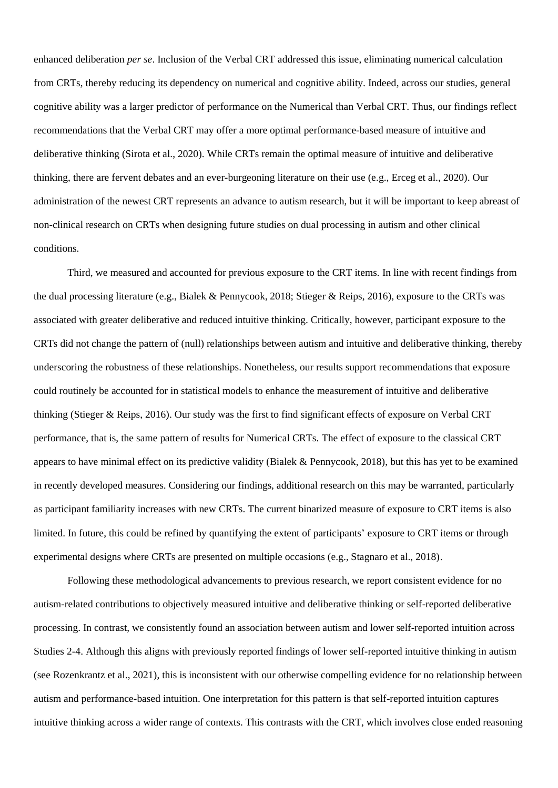enhanced deliberation *per se*. Inclusion of the Verbal CRT addressed this issue, eliminating numerical calculation from CRTs, thereby reducing its dependency on numerical and cognitive ability. Indeed, across our studies, general cognitive ability was a larger predictor of performance on the Numerical than Verbal CRT. Thus, our findings reflect recommendations that the Verbal CRT may offer a more optimal performance-based measure of intuitive and deliberative thinking (Sirota et al., 2020). While CRTs remain the optimal measure of intuitive and deliberative thinking, there are fervent debates and an ever-burgeoning literature on their use (e.g., Erceg et al., 2020). Our administration of the newest CRT represents an advance to autism research, but it will be important to keep abreast of non-clinical research on CRTs when designing future studies on dual processing in autism and other clinical conditions.

Third, we measured and accounted for previous exposure to the CRT items. In line with recent findings from the dual processing literature (e.g., Bialek & Pennycook, 2018; Stieger & Reips, 2016), exposure to the CRTs was associated with greater deliberative and reduced intuitive thinking. Critically, however, participant exposure to the CRTs did not change the pattern of (null) relationships between autism and intuitive and deliberative thinking, thereby underscoring the robustness of these relationships. Nonetheless, our results support recommendations that exposure could routinely be accounted for in statistical models to enhance the measurement of intuitive and deliberative thinking (Stieger & Reips, 2016). Our study was the first to find significant effects of exposure on Verbal CRT performance, that is, the same pattern of results for Numerical CRTs. The effect of exposure to the classical CRT appears to have minimal effect on its predictive validity (Bialek & Pennycook, 2018), but this has yet to be examined in recently developed measures. Considering our findings, additional research on this may be warranted, particularly as participant familiarity increases with new CRTs. The current binarized measure of exposure to CRT items is also limited. In future, this could be refined by quantifying the extent of participants' exposure to CRT items or through experimental designs where CRTs are presented on multiple occasions (e.g., Stagnaro et al., 2018).

Following these methodological advancements to previous research, we report consistent evidence for no autism-related contributions to objectively measured intuitive and deliberative thinking or self-reported deliberative processing. In contrast, we consistently found an association between autism and lower self-reported intuition across Studies 2-4. Although this aligns with previously reported findings of lower self-reported intuitive thinking in autism (see Rozenkrantz et al., 2021), this is inconsistent with our otherwise compelling evidence for no relationship between autism and performance-based intuition. One interpretation for this pattern is that self-reported intuition captures intuitive thinking across a wider range of contexts. This contrasts with the CRT, which involves close ended reasoning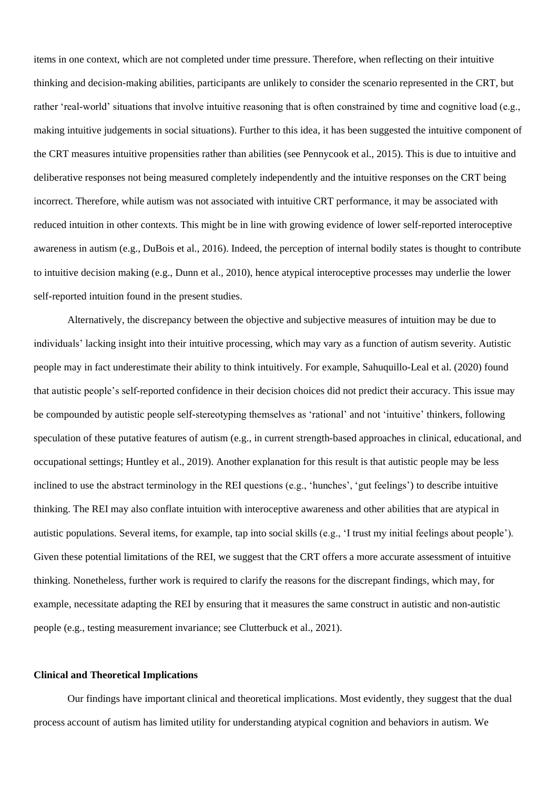items in one context, which are not completed under time pressure. Therefore, when reflecting on their intuitive thinking and decision-making abilities, participants are unlikely to consider the scenario represented in the CRT, but rather 'real-world' situations that involve intuitive reasoning that is often constrained by time and cognitive load (e.g., making intuitive judgements in social situations). Further to this idea, it has been suggested the intuitive component of the CRT measures intuitive propensities rather than abilities (see Pennycook et al., 2015). This is due to intuitive and deliberative responses not being measured completely independently and the intuitive responses on the CRT being incorrect. Therefore, while autism was not associated with intuitive CRT performance, it may be associated with reduced intuition in other contexts. This might be in line with growing evidence of lower self-reported interoceptive awareness in autism (e.g., DuBois et al., 2016). Indeed, the perception of internal bodily states is thought to contribute to intuitive decision making (e.g., Dunn et al., 2010), hence atypical interoceptive processes may underlie the lower self-reported intuition found in the present studies.

Alternatively, the discrepancy between the objective and subjective measures of intuition may be due to individuals' lacking insight into their intuitive processing, which may vary as a function of autism severity. Autistic people may in fact underestimate their ability to think intuitively. For example, Sahuquillo-Leal et al. (2020) found that autistic people's self-reported confidence in their decision choices did not predict their accuracy. This issue may be compounded by autistic people self-stereotyping themselves as 'rational' and not 'intuitive' thinkers, following speculation of these putative features of autism (e.g., in current strength-based approaches in clinical, educational, and occupational settings; Huntley et al., 2019). Another explanation for this result is that autistic people may be less inclined to use the abstract terminology in the REI questions (e.g., 'hunches', 'gut feelings') to describe intuitive thinking. The REI may also conflate intuition with interoceptive awareness and other abilities that are atypical in autistic populations. Several items, for example, tap into social skills (e.g., 'I trust my initial feelings about people'). Given these potential limitations of the REI, we suggest that the CRT offers a more accurate assessment of intuitive thinking. Nonetheless, further work is required to clarify the reasons for the discrepant findings, which may, for example, necessitate adapting the REI by ensuring that it measures the same construct in autistic and non-autistic people (e.g., testing measurement invariance; see Clutterbuck et al., 2021).

#### **Clinical and Theoretical Implications**

Our findings have important clinical and theoretical implications. Most evidently, they suggest that the dual process account of autism has limited utility for understanding atypical cognition and behaviors in autism. We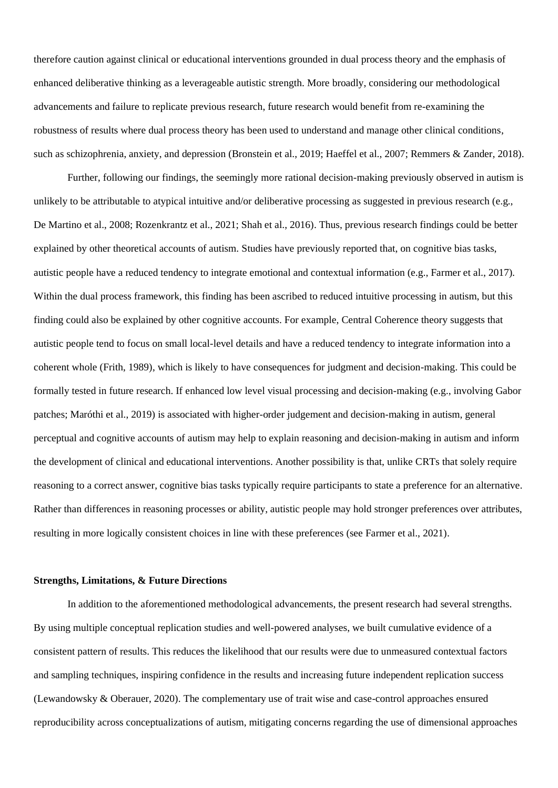therefore caution against clinical or educational interventions grounded in dual process theory and the emphasis of enhanced deliberative thinking as a leverageable autistic strength. More broadly, considering our methodological advancements and failure to replicate previous research, future research would benefit from re-examining the robustness of results where dual process theory has been used to understand and manage other clinical conditions, such as schizophrenia, anxiety, and depression (Bronstein et al., 2019; Haeffel et al., 2007; Remmers & Zander, 2018).

Further, following our findings, the seemingly more rational decision-making previously observed in autism is unlikely to be attributable to atypical intuitive and/or deliberative processing as suggested in previous research (e.g., De Martino et al., 2008; Rozenkrantz et al., 2021; Shah et al., 2016). Thus, previous research findings could be better explained by other theoretical accounts of autism. Studies have previously reported that, on cognitive bias tasks, autistic people have a reduced tendency to integrate emotional and contextual information (e.g., Farmer et al., 2017). Within the dual process framework, this finding has been ascribed to reduced intuitive processing in autism, but this finding could also be explained by other cognitive accounts. For example, Central Coherence theory suggests that autistic people tend to focus on small local-level details and have a reduced tendency to integrate information into a coherent whole (Frith, 1989), which is likely to have consequences for judgment and decision-making. This could be formally tested in future research. If enhanced low level visual processing and decision-making (e.g., involving Gabor patches; Maróthi et al., 2019) is associated with higher-order judgement and decision-making in autism, general perceptual and cognitive accounts of autism may help to explain reasoning and decision-making in autism and inform the development of clinical and educational interventions. Another possibility is that, unlike CRTs that solely require reasoning to a correct answer, cognitive bias tasks typically require participants to state a preference for an alternative. Rather than differences in reasoning processes or ability, autistic people may hold stronger preferences over attributes, resulting in more logically consistent choices in line with these preferences (see Farmer et al., 2021).

#### **Strengths, Limitations, & Future Directions**

In addition to the aforementioned methodological advancements, the present research had several strengths. By using multiple conceptual replication studies and well-powered analyses, we built cumulative evidence of a consistent pattern of results. This reduces the likelihood that our results were due to unmeasured contextual factors and sampling techniques, inspiring confidence in the results and increasing future independent replication success (Lewandowsky & Oberauer, 2020). The complementary use of trait wise and case-control approaches ensured reproducibility across conceptualizations of autism, mitigating concerns regarding the use of dimensional approaches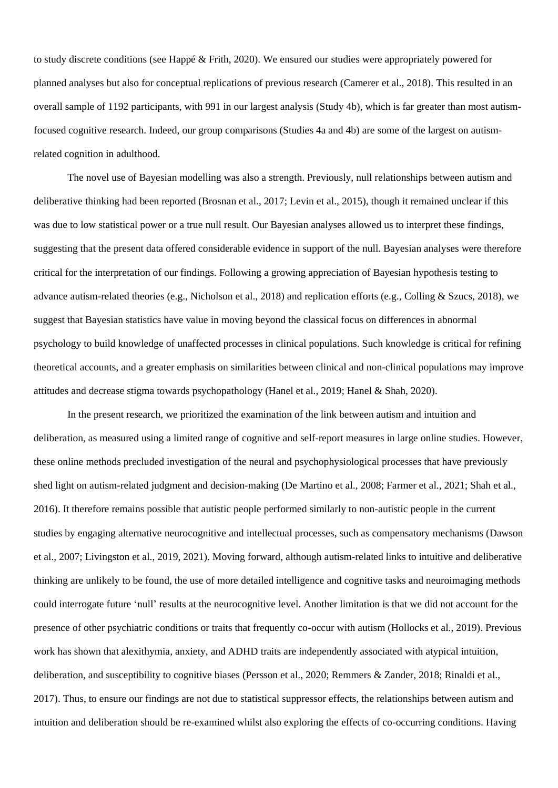to study discrete conditions (see Happé & Frith, 2020). We ensured our studies were appropriately powered for planned analyses but also for conceptual replications of previous research (Camerer et al., 2018). This resulted in an overall sample of 1192 participants, with 991 in our largest analysis (Study 4b), which is far greater than most autismfocused cognitive research. Indeed, our group comparisons (Studies 4a and 4b) are some of the largest on autismrelated cognition in adulthood.

The novel use of Bayesian modelling was also a strength. Previously, null relationships between autism and deliberative thinking had been reported (Brosnan et al., 2017; Levin et al., 2015), though it remained unclear if this was due to low statistical power or a true null result. Our Bayesian analyses allowed us to interpret these findings, suggesting that the present data offered considerable evidence in support of the null. Bayesian analyses were therefore critical for the interpretation of our findings. Following a growing appreciation of Bayesian hypothesis testing to advance autism-related theories (e.g., Nicholson et al., 2018) and replication efforts (e.g., Colling & Szucs, 2018), we suggest that Bayesian statistics have value in moving beyond the classical focus on differences in abnormal psychology to build knowledge of unaffected processes in clinical populations. Such knowledge is critical for refining theoretical accounts, and a greater emphasis on similarities between clinical and non-clinical populations may improve attitudes and decrease stigma towards psychopathology (Hanel et al., 2019; Hanel & Shah, 2020).

In the present research, we prioritized the examination of the link between autism and intuition and deliberation, as measured using a limited range of cognitive and self-report measures in large online studies. However, these online methods precluded investigation of the neural and psychophysiological processes that have previously shed light on autism-related judgment and decision-making (De Martino et al., 2008; Farmer et al., 2021; Shah et al., 2016). It therefore remains possible that autistic people performed similarly to non-autistic people in the current studies by engaging alternative neurocognitive and intellectual processes, such as compensatory mechanisms (Dawson et al., 2007; Livingston et al., 2019, 2021). Moving forward, although autism-related links to intuitive and deliberative thinking are unlikely to be found, the use of more detailed intelligence and cognitive tasks and neuroimaging methods could interrogate future 'null' results at the neurocognitive level. Another limitation is that we did not account for the presence of other psychiatric conditions or traits that frequently co-occur with autism (Hollocks et al., 2019). Previous work has shown that alexithymia, anxiety, and ADHD traits are independently associated with atypical intuition, deliberation, and susceptibility to cognitive biases (Persson et al., 2020; Remmers & Zander, 2018; Rinaldi et al., 2017). Thus, to ensure our findings are not due to statistical suppressor effects, the relationships between autism and intuition and deliberation should be re-examined whilst also exploring the effects of co-occurring conditions. Having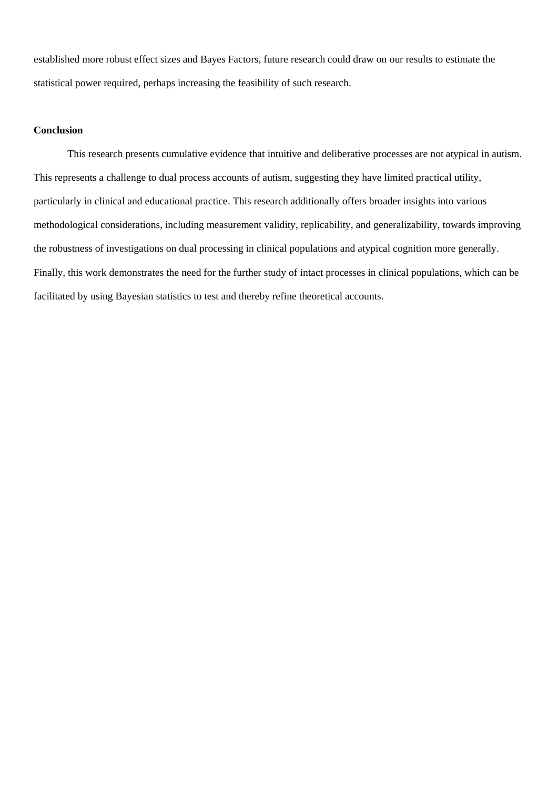established more robust effect sizes and Bayes Factors, future research could draw on our results to estimate the statistical power required, perhaps increasing the feasibility of such research.

## **Conclusion**

This research presents cumulative evidence that intuitive and deliberative processes are not atypical in autism. This represents a challenge to dual process accounts of autism, suggesting they have limited practical utility, particularly in clinical and educational practice. This research additionally offers broader insights into various methodological considerations, including measurement validity, replicability, and generalizability, towards improving the robustness of investigations on dual processing in clinical populations and atypical cognition more generally. Finally, this work demonstrates the need for the further study of intact processes in clinical populations, which can be facilitated by using Bayesian statistics to test and thereby refine theoretical accounts.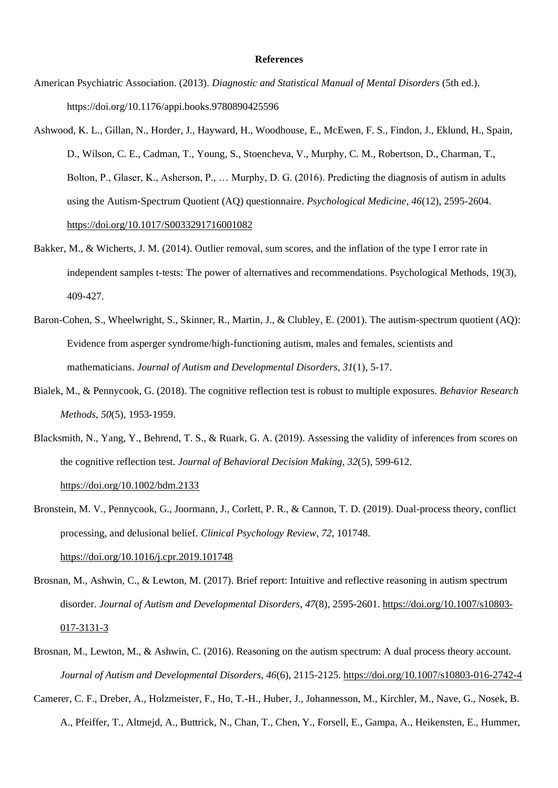### **References**

- American Psychiatric Association. (2013). *Diagnostic and Statistical Manual of Mental Disorders* (5th ed.). https://doi.org/10.1176/appi.books.9780890425596
- Ashwood, K. L., Gillan, N., Horder, J., Hayward, H., Woodhouse, E., McEwen, F. S., Findon, J., Eklund, H., Spain, D., Wilson, C. E., Cadman, T., Young, S., Stoencheva, V., Murphy, C. M., Robertson, D., Charman, T., Bolton, P., Glaser, K., Asherson, P., … Murphy, D. G. (2016). Predicting the diagnosis of autism in adults using the Autism-Spectrum Quotient (AQ) questionnaire. *Psychological Medicine*, *46*(12), 2595-2604. <https://doi.org/10.1017/S0033291716001082>
- Bakker, M., & Wicherts, J. M. (2014). Outlier removal, sum scores, and the inflation of the type I error rate in independent samples t-tests: The power of alternatives and recommendations. Psychological Methods, 19(3), 409-427.
- Baron-Cohen, S., Wheelwright, S., Skinner, R., Martin, J., & Clubley, E. (2001). The autism-spectrum quotient (AQ): Evidence from asperger syndrome/high-functioning autism, males and females, scientists and mathematicians. *Journal of Autism and Developmental Disorders*, *31*(1), 5-17.
- Bialek, M., & Pennycook, G. (2018). The cognitive reflection test is robust to multiple exposures. *Behavior Research Methods*, *50*(5), 1953-1959.
- Blacksmith, N., Yang, Y., Behrend, T. S., & Ruark, G. A. (2019). Assessing the validity of inferences from scores on the cognitive reflection test. *Journal of Behavioral Decision Making*, *32*(5), 599-612. <https://doi.org/10.1002/bdm.2133>
- Bronstein, M. V., Pennycook, G., Joormann, J., Corlett, P. R., & Cannon, T. D. (2019). Dual-process theory, conflict processing, and delusional belief. *Clinical Psychology Review*, *72*, 101748. <https://doi.org/10.1016/j.cpr.2019.101748>
- Brosnan, M., Ashwin, C., & Lewton, M. (2017). Brief report: Intuitive and reflective reasoning in autism spectrum disorder. *Journal of Autism and Developmental Disorders*, *47*(8), 2595-2601. [https://doi.org/10.1007/s10803-](https://doi.org/10.1007/s10803-017-3131-3) [017-3131-3](https://doi.org/10.1007/s10803-017-3131-3)
- Brosnan, M., Lewton, M., & Ashwin, C. (2016). Reasoning on the autism spectrum: A dual process theory account. *Journal of Autism and Developmental Disorders*, *46*(6), 2115-2125.<https://doi.org/10.1007/s10803-016-2742-4>
- Camerer, C. F., Dreber, A., Holzmeister, F., Ho, T.-H., Huber, J., Johannesson, M., Kirchler, M., Nave, G., Nosek, B. A., Pfeiffer, T., Altmejd, A., Buttrick, N., Chan, T., Chen, Y., Forsell, E., Gampa, A., Heikensten, E., Hummer,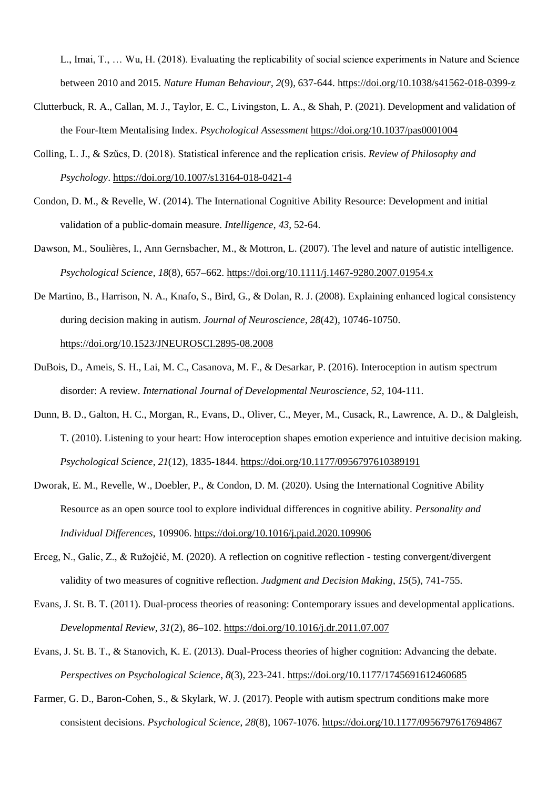L., Imai, T., … Wu, H. (2018). Evaluating the replicability of social science experiments in Nature and Science between 2010 and 2015. *Nature Human Behaviour*, *2*(9), 637-644.<https://doi.org/10.1038/s41562-018-0399-z>

- Clutterbuck, R. A., Callan, M. J., Taylor, E. C., Livingston, L. A., & Shah, P. (2021). Development and validation of the Four-Item Mentalising Index. *Psychological Assessment* <https://doi.org/10.1037/pas0001004>
- Colling, L. J., & Szűcs, D. (2018). Statistical inference and the replication crisis. *Review of Philosophy and Psychology*[. https://doi.org/10.1007/s13164-018-0421-4](https://doi.org/10.1007/s13164-018-0421-4)
- Condon, D. M., & Revelle, W. (2014). The International Cognitive Ability Resource: Development and initial validation of a public-domain measure. *Intelligence*, *43*, 52-64.
- Dawson, M., Soulières, I., Ann Gernsbacher, M., & Mottron, L. (2007). The level and nature of autistic intelligence. *Psychological Science*, *18*(8), 657–662.<https://doi.org/10.1111/j.1467-9280.2007.01954.x>
- De Martino, B., Harrison, N. A., Knafo, S., Bird, G., & Dolan, R. J. (2008). Explaining enhanced logical consistency during decision making in autism. *Journal of Neuroscience*, *28*(42), 10746-10750. <https://doi.org/10.1523/JNEUROSCI.2895-08.2008>
- DuBois, D., Ameis, S. H., Lai, M. C., Casanova, M. F., & Desarkar, P. (2016). Interoception in autism spectrum disorder: A review. *International Journal of Developmental Neuroscience*, *52*, 104-111.
- Dunn, B. D., Galton, H. C., Morgan, R., Evans, D., Oliver, C., Meyer, M., Cusack, R., Lawrence, A. D., & Dalgleish, T. (2010). Listening to your heart: How interoception shapes emotion experience and intuitive decision making. *Psychological Science*, *21*(12), 1835-1844[. https://doi.org/10.1177/0956797610389191](https://doi.org/10.1177/0956797610389191)
- Dworak, E. M., Revelle, W., Doebler, P., & Condon, D. M. (2020). Using the International Cognitive Ability Resource as an open source tool to explore individual differences in cognitive ability. *Personality and Individual Differences*, 109906.<https://doi.org/10.1016/j.paid.2020.109906>
- Erceg, N., Galic, Z., & Ružojčić, M. (2020). A reflection on cognitive reflection testing convergent/divergent validity of two measures of cognitive reflection. *Judgment and Decision Making*, *15*(5), 741-755.
- Evans, J. St. B. T. (2011). Dual-process theories of reasoning: Contemporary issues and developmental applications. *Developmental Review*, *31*(2), 86–102.<https://doi.org/10.1016/j.dr.2011.07.007>
- Evans, J. St. B. T., & Stanovich, K. E. (2013). Dual-Process theories of higher cognition: Advancing the debate. *Perspectives on Psychological Science*, *8*(3), 223-241[. https://doi.org/10.1177/1745691612460685](https://doi.org/10.1177/1745691612460685)
- Farmer, G. D., Baron-Cohen, S., & Skylark, W. J. (2017). People with autism spectrum conditions make more consistent decisions. *Psychological Science*, *28*(8), 1067-1076.<https://doi.org/10.1177/0956797617694867>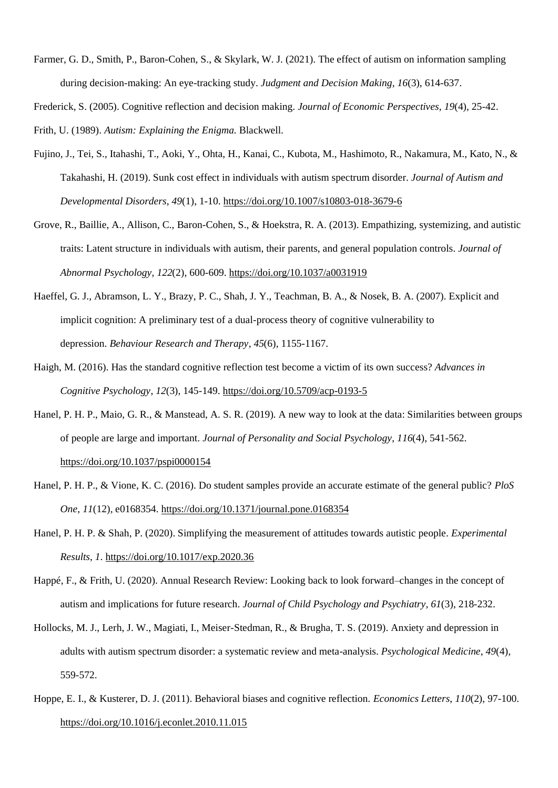Farmer, G. D., Smith, P., Baron-Cohen, S., & Skylark, W. J. (2021). The effect of autism on information sampling during decision-making: An eye-tracking study. *Judgment and Decision Making*, *16*(3), 614-637.

Frederick, S. (2005). Cognitive reflection and decision making. *Journal of Economic Perspectives*, *19*(4), 25-42. Frith, U. (1989). *Autism: Explaining the Enigma.* Blackwell.

- Fujino, J., Tei, S., Itahashi, T., Aoki, Y., Ohta, H., Kanai, C., Kubota, M., Hashimoto, R., Nakamura, M., Kato, N., & Takahashi, H. (2019). Sunk cost effect in individuals with autism spectrum disorder. *Journal of Autism and Developmental Disorders*, *49*(1), 1-10.<https://doi.org/10.1007/s10803-018-3679-6>
- Grove, R., Baillie, A., Allison, C., Baron-Cohen, S., & Hoekstra, R. A. (2013). Empathizing, systemizing, and autistic traits: Latent structure in individuals with autism, their parents, and general population controls. *Journal of Abnormal Psychology*, *122*(2), 600-609.<https://doi.org/10.1037/a0031919>
- Haeffel, G. J., Abramson, L. Y., Brazy, P. C., Shah, J. Y., Teachman, B. A., & Nosek, B. A. (2007). Explicit and implicit cognition: A preliminary test of a dual-process theory of cognitive vulnerability to depression. *Behaviour Research and Therapy*, *45*(6), 1155-1167.
- Haigh, M. (2016). Has the standard cognitive reflection test become a victim of its own success? *Advances in Cognitive Psychology*, *12*(3), 145-149[. https://doi.org/10.5709/acp-0193-5](https://doi.org/10.5709/acp-0193-5)
- Hanel, P. H. P., Maio, G. R., & Manstead, A. S. R. (2019). A new way to look at the data: Similarities between groups of people are large and important. *Journal of Personality and Social Psychology*, *116*(4), 541-562. <https://doi.org/10.1037/pspi0000154>
- Hanel, P. H. P., & Vione, K. C. (2016). Do student samples provide an accurate estimate of the general public? *PloS One*, *11*(12), e0168354.<https://doi.org/10.1371/journal.pone.0168354>
- Hanel, P. H. P. & Shah, P. (2020). Simplifying the measurement of attitudes towards autistic people. *Experimental Results*, *1*.<https://doi.org/10.1017/exp.2020.36>
- Happé, F., & Frith, U. (2020). Annual Research Review: Looking back to look forward–changes in the concept of autism and implications for future research. *Journal of Child Psychology and Psychiatry*, *61*(3), 218-232.
- Hollocks, M. J., Lerh, J. W., Magiati, I., Meiser-Stedman, R., & Brugha, T. S. (2019). Anxiety and depression in adults with autism spectrum disorder: a systematic review and meta-analysis. *Psychological Medicine*, *49*(4), 559-572.
- Hoppe, E. I., & Kusterer, D. J. (2011). Behavioral biases and cognitive reflection. *Economics Letters*, *110*(2), 97-100. <https://doi.org/10.1016/j.econlet.2010.11.015>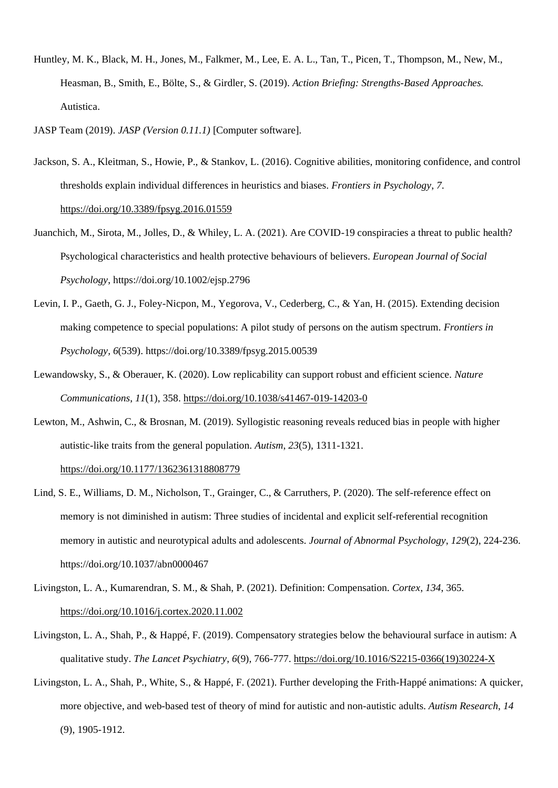- Huntley, M. K., Black, M. H., Jones, M., Falkmer, M., Lee, E. A. L., Tan, T., Picen, T., Thompson, M., New, M., Heasman, B., Smith, E., Bölte, S., & Girdler, S. (2019). *Action Briefing: Strengths-Based Approaches.* Autistica.
- JASP Team (2019). *JASP (Version 0.11.1)* [Computer software].
- Jackson, S. A., Kleitman, S., Howie, P., & Stankov, L. (2016). Cognitive abilities, monitoring confidence, and control thresholds explain individual differences in heuristics and biases. *Frontiers in Psychology*, *7*. <https://doi.org/10.3389/fpsyg.2016.01559>
- Juanchich, M., Sirota, M., Jolles, D., & Whiley, L. A. (2021). Are COVID-19 conspiracies a threat to public health? Psychological characteristics and health protective behaviours of believers. *European Journal of Social Psychology*[, https://doi.org/10.1002/ejsp.2796](https://doi.org/10.1002/ejsp.2796)
- Levin, I. P., Gaeth, G. J., Foley-Nicpon, M., Yegorova, V., Cederberg, C., & Yan, H. (2015). Extending decision making competence to special populations: A pilot study of persons on the autism spectrum. *Frontiers in Psychology, 6*(539). https://doi.org/10.3389/fpsyg.2015.00539
- Lewandowsky, S., & Oberauer, K. (2020). Low replicability can support robust and efficient science. *Nature Communications*, *11*(1), 358[. https://doi.org/10.1038/s41467-019-14203-0](https://doi.org/10.1038/s41467-019-14203-0)
- Lewton, M., Ashwin, C., & Brosnan, M. (2019). Syllogistic reasoning reveals reduced bias in people with higher autistic-like traits from the general population. *Autism*, *23*(5), 1311-1321. <https://doi.org/10.1177/1362361318808779>
- Lind, S. E., Williams, D. M., Nicholson, T., Grainger, C., & Carruthers, P. (2020). The self-reference effect on memory is not diminished in autism: Three studies of incidental and explicit self-referential recognition memory in autistic and neurotypical adults and adolescents. *Journal of Abnormal Psychology*, *129*(2), 224-236. <https://doi.org/10.1037/abn0000467>
- Livingston, L. A., Kumarendran, S. M., & Shah, P. (2021). Definition: Compensation. *Cortex*, *134*, 365. <https://doi.org/10.1016/j.cortex.2020.11.002>
- Livingston, L. A., Shah, P., & Happé, F. (2019). Compensatory strategies below the behavioural surface in autism: A qualitative study. *The Lancet Psychiatry*, *6*(9), 766-777. [https://doi.org/10.1016/S2215-0366\(19\)30224-X](https://doi.org/10.1016/S2215-0366(19)30224-X)
- Livingston, L. A., Shah, P., White, S., & Happé, F. (2021). Further developing the Frith-Happé animations: A quicker, more objective, and web-based test of theory of mind for autistic and non-autistic adults. *Autism Research*, *14* (9), 1905-1912.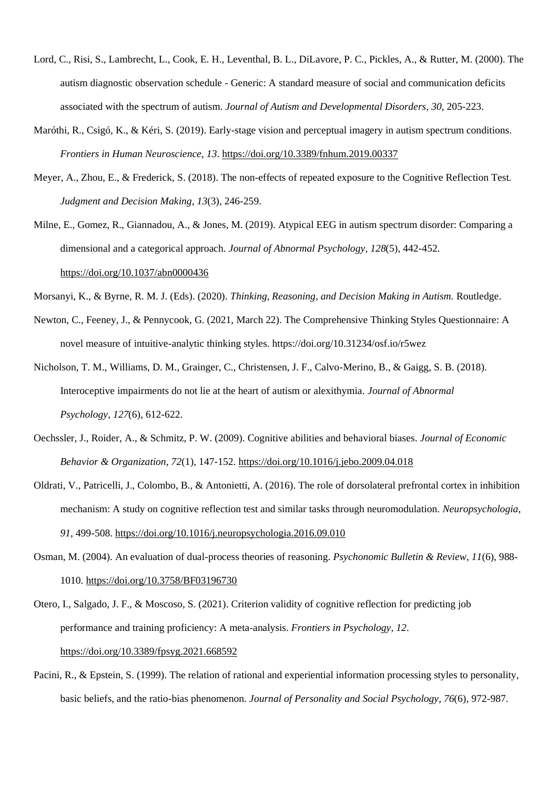- Lord, C., Risi, S., Lambrecht, L., Cook, E. H., Leventhal, B. L., DiLavore, P. C., Pickles, A., & Rutter, M. (2000). The autism diagnostic observation schedule - Generic: A standard measure of social and communication deficits associated with the spectrum of autism. *Journal of Autism and Developmental Disorders*, *30*, 205-223.
- Maróthi, R., Csigó, K., & Kéri, S. (2019). Early-stage vision and perceptual imagery in autism spectrum conditions. *Frontiers in Human Neuroscience*, *13*.<https://doi.org/10.3389/fnhum.2019.00337>
- Meyer, A., Zhou, E., & Frederick, S. (2018). The non-effects of repeated exposure to the Cognitive Reflection Test. *Judgment and Decision Making*, *13*(3), 246-259.

Milne, E., Gomez, R., Giannadou, A., & Jones, M. (2019). Atypical EEG in autism spectrum disorder: Comparing a dimensional and a categorical approach. *Journal of Abnormal Psychology*, *128*(5), 442-452. <https://doi.org/10.1037/abn0000436>

- Morsanyi, K., & Byrne, R. M. J. (Eds). (2020). *Thinking, Reasoning, and Decision Making in Autism.* Routledge.
- Newton, C., Feeney, J., & Pennycook, G. (2021, March 22). The Comprehensive Thinking Styles Questionnaire: A novel measure of intuitive-analytic thinking styles. https://doi.org/10.31234/osf.io/r5wez
- Nicholson, T. M., Williams, D. M., Grainger, C., Christensen, J. F., Calvo-Merino, B., & Gaigg, S. B. (2018). Interoceptive impairments do not lie at the heart of autism or alexithymia. *Journal of Abnormal Psychology*, *127*(6), 612-622.
- Oechssler, J., Roider, A., & Schmitz, P. W. (2009). Cognitive abilities and behavioral biases. *Journal of Economic Behavior & Organization*, *72*(1), 147-152.<https://doi.org/10.1016/j.jebo.2009.04.018>
- Oldrati, V., Patricelli, J., Colombo, B., & Antonietti, A. (2016). The role of dorsolateral prefrontal cortex in inhibition mechanism: A study on cognitive reflection test and similar tasks through neuromodulation. *Neuropsychologia*, *91*, 499-508.<https://doi.org/10.1016/j.neuropsychologia.2016.09.010>
- Osman, M. (2004). An evaluation of dual-process theories of reasoning. *Psychonomic Bulletin & Review*, *11*(6), 988- 1010.<https://doi.org/10.3758/BF03196730>

Otero, I., Salgado, J. F., & Moscoso, S. (2021). Criterion validity of cognitive reflection for predicting job performance and training proficiency: A meta-analysis. *Frontiers in Psychology*, *12*. <https://doi.org/10.3389/fpsyg.2021.668592>

Pacini, R., & Epstein, S. (1999). The relation of rational and experiential information processing styles to personality, basic beliefs, and the ratio-bias phenomenon. *Journal of Personality and Social Psychology, 76*(6), 972-987.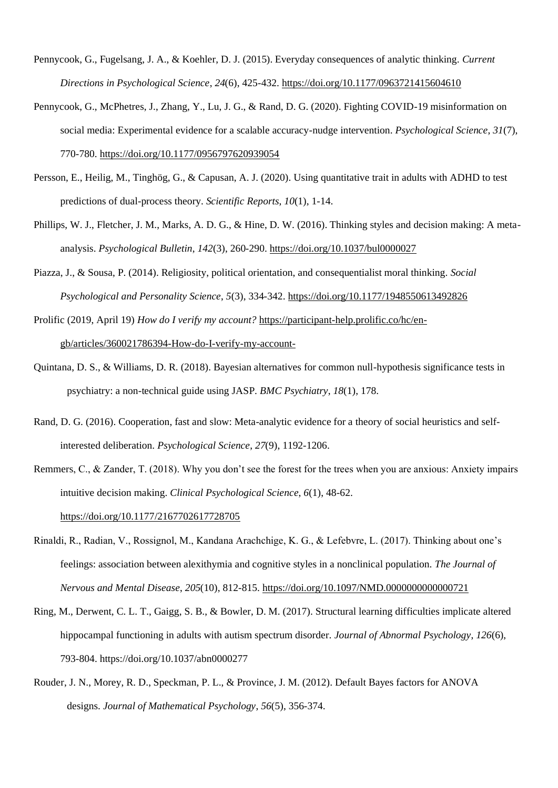- Pennycook, G., Fugelsang, J. A., & Koehler, D. J. (2015). Everyday consequences of analytic thinking. *Current Directions in Psychological Science*, *24*(6), 425-432[. https://doi.org/10.1177/0963721415604610](https://doi.org/10.1177/0963721415604610)
- Pennycook, G., McPhetres, J., Zhang, Y., Lu, J. G., & Rand, D. G. (2020). Fighting COVID-19 misinformation on social media: Experimental evidence for a scalable accuracy-nudge intervention. *Psychological Science*, *31*(7), 770-780.<https://doi.org/10.1177/0956797620939054>
- Persson, E., Heilig, M., Tinghög, G., & Capusan, A. J. (2020). Using quantitative trait in adults with ADHD to test predictions of dual-process theory. *Scientific Reports*, *10*(1), 1-14.
- Phillips, W. J., Fletcher, J. M., Marks, A. D. G., & Hine, D. W. (2016). Thinking styles and decision making: A metaanalysis. *Psychological Bulletin*, *142*(3), 260-290[. https://doi.org/10.1037/bul0000027](https://doi.org/10.1037/bul0000027)
- Piazza, J., & Sousa, P. (2014). Religiosity, political orientation, and consequentialist moral thinking. *Social Psychological and Personality Science*, *5*(3), 334-342.<https://doi.org/10.1177/1948550613492826>
- Prolific (2019, April 19) *How do I verify my account?* [https://participant-help.prolific.co/hc/en](https://participant-help.prolific.co/hc/en-gb/articles/360021786394-How-do-I-verify-my-account-)[gb/articles/360021786394-How-do-I-verify-my-account-](https://participant-help.prolific.co/hc/en-gb/articles/360021786394-How-do-I-verify-my-account-)
- Quintana, D. S., & Williams, D. R. (2018). Bayesian alternatives for common null-hypothesis significance tests in psychiatry: a non-technical guide using JASP. *BMC Psychiatry*, *18*(1), 178.
- Rand, D. G. (2016). Cooperation, fast and slow: Meta-analytic evidence for a theory of social heuristics and selfinterested deliberation. *Psychological Science*, *27*(9), 1192-1206.
- Remmers, C., & Zander, T. (2018). Why you don't see the forest for the trees when you are anxious: Anxiety impairs intuitive decision making. *Clinical Psychological Science*, *6*(1), 48-62. <https://doi.org/10.1177/2167702617728705>
- Rinaldi, R., Radian, V., Rossignol, M., Kandana Arachchige, K. G., & Lefebvre, L. (2017). Thinking about one's feelings: association between alexithymia and cognitive styles in a nonclinical population. *The Journal of Nervous and Mental Disease*, *205*(10), 812-815[. https://doi.org/10.1097/NMD.0000000000000721](https://doi.org/10.1097/NMD.0000000000000721)
- Ring, M., Derwent, C. L. T., Gaigg, S. B., & Bowler, D. M. (2017). Structural learning difficulties implicate altered hippocampal functioning in adults with autism spectrum disorder. *Journal of Abnormal Psychology*, *126*(6), 793-804.<https://doi.org/10.1037/abn0000277>
- Rouder, J. N., Morey, R. D., Speckman, P. L., & Province, J. M. (2012). Default Bayes factors for ANOVA designs. *Journal of Mathematical Psychology*, *56*(5), 356-374.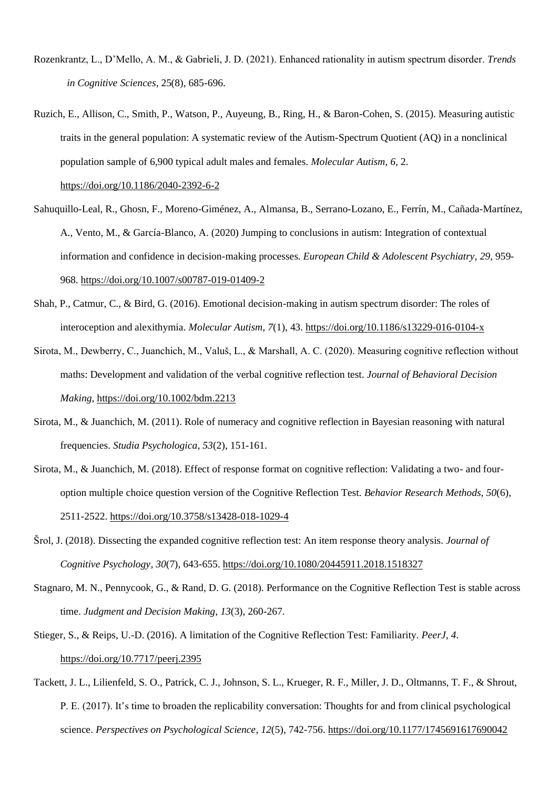- Rozenkrantz, L., D'Mello, A. M., & Gabrieli, J. D. (2021). Enhanced rationality in autism spectrum disorder. *Trends in Cognitive Sciences*, 25(8), 685-696.
- Ruzich, E., Allison, C., Smith, P., Watson, P., Auyeung, B., Ring, H., & Baron-Cohen, S. (2015). Measuring autistic traits in the general population: A systematic review of the Autism-Spectrum Quotient (AQ) in a nonclinical population sample of 6,900 typical adult males and females. *Molecular Autism*, *6*, 2.

<https://doi.org/10.1186/2040-2392-6-2>

- Sahuquillo-Leal, R., Ghosn, F., Moreno-Giménez, A., Almansa, B., Serrano-Lozano, E., Ferrín, M., Cañada-Martínez, A., Vento, M., & García-Blanco, A. (2020) Jumping to conclusions in autism: Integration of contextual information and confidence in decision-making processes. *European Child & Adolescent Psychiatry*, *29*, 959- 968.<https://doi.org/10.1007/s00787-019-01409-2>
- Shah, P., Catmur, C., & Bird, G. (2016). Emotional decision-making in autism spectrum disorder: The roles of interoception and alexithymia. *Molecular Autism*, *7*(1), 43.<https://doi.org/10.1186/s13229-016-0104-x>
- Sirota, M., Dewberry, C., Juanchich, M., Valuš, L., & Marshall, A. C. (2020). Measuring cognitive reflection without maths: Development and validation of the verbal cognitive reflection test. *Journal of Behavioral Decision Making*,<https://doi.org/10.1002/bdm.2213>
- Sirota, M., & Juanchich, M. (2011). Role of numeracy and cognitive reflection in Bayesian reasoning with natural frequencies. *Studia Psychologica*, *53*(2), 151-161.
- Sirota, M., & Juanchich, M. (2018). Effect of response format on cognitive reflection: Validating a two- and fouroption multiple choice question version of the Cognitive Reflection Test. *Behavior Research Methods*, *50*(6), 2511-2522.<https://doi.org/10.3758/s13428-018-1029-4>
- Šrol, J. (2018). Dissecting the expanded cognitive reflection test: An item response theory analysis. *Journal of Cognitive Psychology*, *30*(7), 643-655[. https://doi.org/10.1080/20445911.2018.1518327](https://doi.org/10.1080/20445911.2018.1518327)
- Stagnaro, M. N., Pennycook, G., & Rand, D. G. (2018). Performance on the Cognitive Reflection Test is stable across time. *Judgment and Decision Making*, *13*(3), 260-267.
- Stieger, S., & Reips, U.-D. (2016). A limitation of the Cognitive Reflection Test: Familiarity. *PeerJ*, *4*. <https://doi.org/10.7717/peerj.2395>
- Tackett, J. L., Lilienfeld, S. O., Patrick, C. J., Johnson, S. L., Krueger, R. F., Miller, J. D., Oltmanns, T. F., & Shrout, P. E. (2017). It's time to broaden the replicability conversation: Thoughts for and from clinical psychological science. *Perspectives on Psychological Science*, *12*(5), 742-756.<https://doi.org/10.1177/1745691617690042>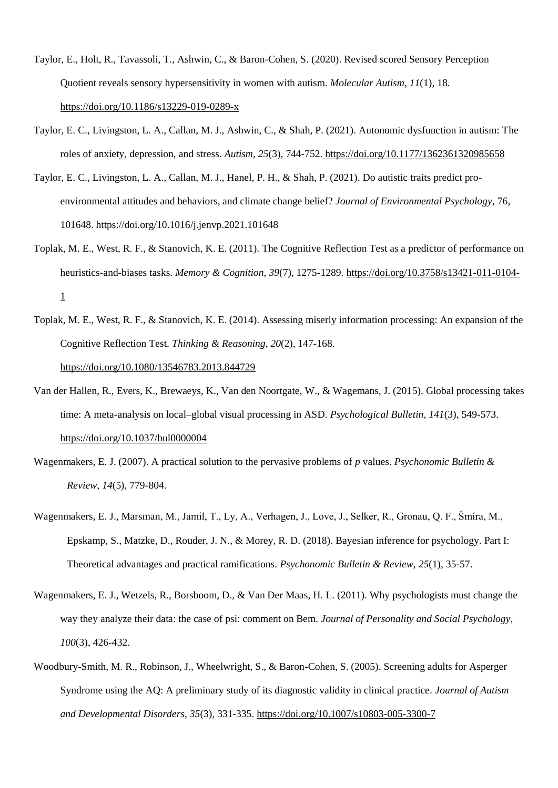- Taylor, E., Holt, R., Tavassoli, T., Ashwin, C., & Baron-Cohen, S. (2020). Revised scored Sensory Perception Quotient reveals sensory hypersensitivity in women with autism. *Molecular Autism*, *11*(1), 18. <https://doi.org/10.1186/s13229-019-0289-x>
- Taylor, E. C., Livingston, L. A., Callan, M. J., Ashwin, C., & Shah, P. (2021). Autonomic dysfunction in autism: The roles of anxiety, depression, and stress. *Autism*, *25*(3), 744-752. <https://doi.org/10.1177/1362361320985658>
- Taylor, E. C., Livingston, L. A., Callan, M. J., Hanel, P. H., & Shah, P. (2021). Do autistic traits predict proenvironmental attitudes and behaviors, and climate change belief? *Journal of Environmental Psychology*, 76, 101648. https://doi.org/10.1016/j.jenvp.2021.101648
- Toplak, M. E., West, R. F., & Stanovich, K. E. (2011). The Cognitive Reflection Test as a predictor of performance on heuristics-and-biases tasks. *Memory & Cognition*, *39*(7), 1275-1289. [https://doi.org/10.3758/s13421-011-0104-](https://doi.org/10.3758/s13421-011-0104-1) [1](https://doi.org/10.3758/s13421-011-0104-1)
- Toplak, M. E., West, R. F., & Stanovich, K. E. (2014). Assessing miserly information processing: An expansion of the Cognitive Reflection Test. *Thinking & Reasoning*, *20*(2), 147-168. <https://doi.org/10.1080/13546783.2013.844729>
- Van der Hallen, R., Evers, K., Brewaeys, K., Van den Noortgate, W., & Wagemans, J. (2015). Global processing takes time: A meta-analysis on local–global visual processing in ASD. *Psychological Bulletin*, *141*(3), 549-573. <https://doi.org/10.1037/bul0000004>
- Wagenmakers, E. J. (2007). A practical solution to the pervasive problems of *p* values. *Psychonomic Bulletin & Review*, *14*(5), 779-804.
- Wagenmakers, E. J., Marsman, M., Jamil, T., Ly, A., Verhagen, J., Love, J., Selker, R., Gronau, Q. F., Šmíra, M., Epskamp, S., Matzke, D., Rouder, J. N., & Morey, R. D. (2018). Bayesian inference for psychology. Part I: Theoretical advantages and practical ramifications. *Psychonomic Bulletin & Review*, *25*(1), 35-57.
- Wagenmakers, E. J., Wetzels, R., Borsboom, D., & Van Der Maas, H. L. (2011). Why psychologists must change the way they analyze their data: the case of psi: comment on Bem. *Journal of Personality and Social Psychology, 100*(3), 426-432.
- Woodbury-Smith, M. R., Robinson, J., Wheelwright, S., & Baron-Cohen, S. (2005). Screening adults for Asperger Syndrome using the AQ: A preliminary study of its diagnostic validity in clinical practice. *Journal of Autism and Developmental Disorders*, *35*(3), 331-335.<https://doi.org/10.1007/s10803-005-3300-7>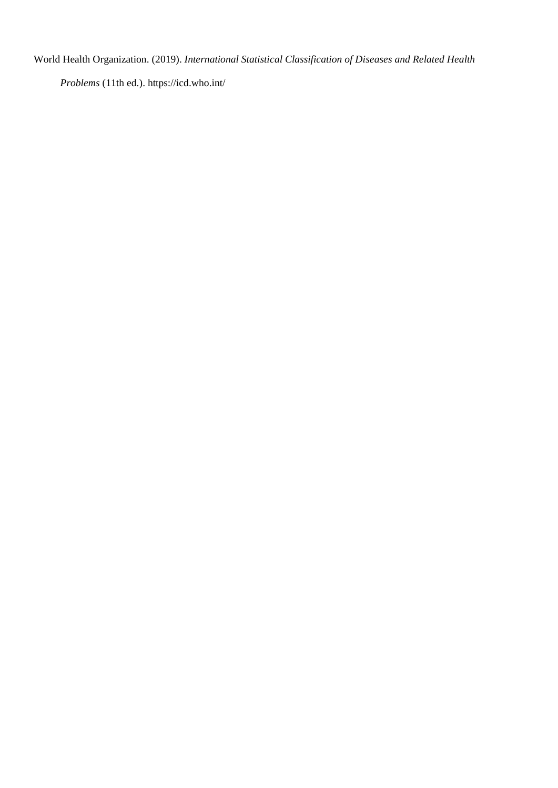World Health Organization. (2019). *International Statistical Classification of Diseases and Related Health* 

*Problems* (11th ed.). https://icd.who.int/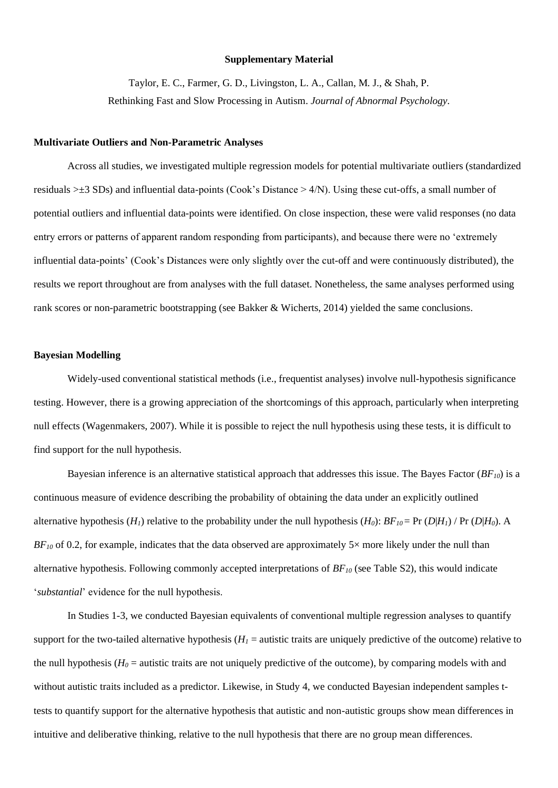### **Supplementary Material**

Taylor, E. C., Farmer, G. D., Livingston, L. A., Callan, M. J., & Shah, P. Rethinking Fast and Slow Processing in Autism. *Journal of Abnormal Psychology.*

#### **Multivariate Outliers and Non-Parametric Analyses**

Across all studies, we investigated multiple regression models for potential multivariate outliers (standardized residuals >±3 SDs) and influential data-points (Cook's Distance > 4/N). Using these cut-offs, a small number of potential outliers and influential data-points were identified. On close inspection, these were valid responses (no data entry errors or patterns of apparent random responding from participants), and because there were no 'extremely influential data-points' (Cook's Distances were only slightly over the cut-off and were continuously distributed), the results we report throughout are from analyses with the full dataset. Nonetheless, the same analyses performed using rank scores or non-parametric bootstrapping (see Bakker & Wicherts, 2014) yielded the same conclusions.

### **Bayesian Modelling**

Widely-used conventional statistical methods (i.e., frequentist analyses) involve null-hypothesis significance testing. However, there is a growing appreciation of the shortcomings of this approach, particularly when interpreting null effects (Wagenmakers, 2007). While it is possible to reject the null hypothesis using these tests, it is difficult to find support for the null hypothesis.

Bayesian inference is an alternative statistical approach that addresses this issue. The Bayes Factor (*BF10*) is a continuous measure of evidence describing the probability of obtaining the data under an explicitly outlined alternative hypothesis (*H<sub>1</sub>*) relative to the probability under the null hypothesis (*H<sub>0</sub>*): *BF*<sub>*10*</sub> = Pr (*D*|*H<sub>1</sub>*) / Pr (*D*|*H<sub>0</sub>*). A  $BF_{10}$  of 0.2, for example, indicates that the data observed are approximately  $5\times$  more likely under the null than alternative hypothesis. Following commonly accepted interpretations of *BF<sup>10</sup>* (see Table S2), this would indicate '*substantial*' evidence for the null hypothesis.

In Studies 1-3, we conducted Bayesian equivalents of conventional multiple regression analyses to quantify support for the two-tailed alternative hypothesis ( $H<sub>I</sub>$  = autistic traits are uniquely predictive of the outcome) relative to the null hypothesis ( $H_0$  = autistic traits are not uniquely predictive of the outcome), by comparing models with and without autistic traits included as a predictor. Likewise, in Study 4, we conducted Bayesian independent samples ttests to quantify support for the alternative hypothesis that autistic and non-autistic groups show mean differences in intuitive and deliberative thinking, relative to the null hypothesis that there are no group mean differences.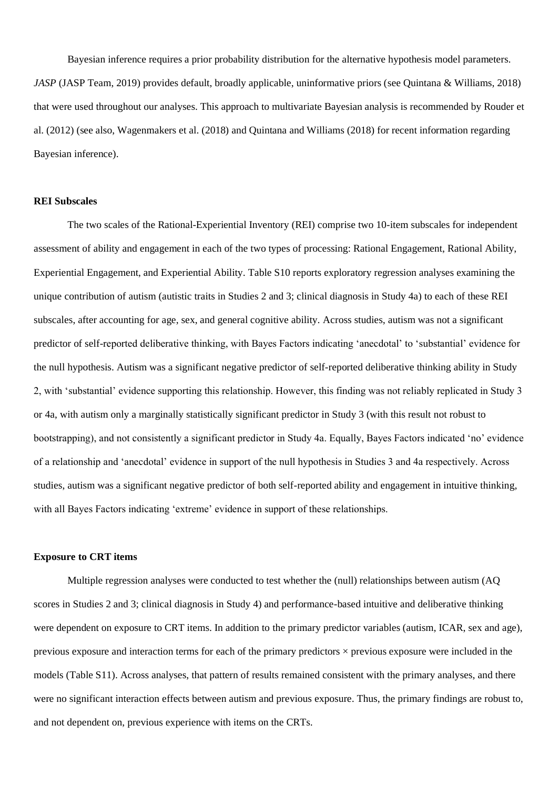Bayesian inference requires a prior probability distribution for the alternative hypothesis model parameters. *JASP* (JASP Team, 2019) provides default, broadly applicable, uninformative priors (see Quintana & Williams, 2018) that were used throughout our analyses. This approach to multivariate Bayesian analysis is recommended by Rouder et al. (2012) (see also, Wagenmakers et al. (2018) and Quintana and Williams (2018) for recent information regarding Bayesian inference).

### **REI Subscales**

The two scales of the Rational-Experiential Inventory (REI) comprise two 10-item subscales for independent assessment of ability and engagement in each of the two types of processing: Rational Engagement, Rational Ability, Experiential Engagement, and Experiential Ability. Table S10 reports exploratory regression analyses examining the unique contribution of autism (autistic traits in Studies 2 and 3; clinical diagnosis in Study 4a) to each of these REI subscales, after accounting for age, sex, and general cognitive ability. Across studies, autism was not a significant predictor of self-reported deliberative thinking, with Bayes Factors indicating 'anecdotal' to 'substantial' evidence for the null hypothesis. Autism was a significant negative predictor of self-reported deliberative thinking ability in Study 2, with 'substantial' evidence supporting this relationship. However, this finding was not reliably replicated in Study 3 or 4a, with autism only a marginally statistically significant predictor in Study 3 (with this result not robust to bootstrapping), and not consistently a significant predictor in Study 4a. Equally, Bayes Factors indicated 'no' evidence of a relationship and 'anecdotal' evidence in support of the null hypothesis in Studies 3 and 4a respectively. Across studies, autism was a significant negative predictor of both self-reported ability and engagement in intuitive thinking, with all Bayes Factors indicating 'extreme' evidence in support of these relationships.

#### **Exposure to CRT items**

Multiple regression analyses were conducted to test whether the (null) relationships between autism (AQ scores in Studies 2 and 3; clinical diagnosis in Study 4) and performance-based intuitive and deliberative thinking were dependent on exposure to CRT items. In addition to the primary predictor variables (autism, ICAR, sex and age), previous exposure and interaction terms for each of the primary predictors  $\times$  previous exposure were included in the models (Table S11). Across analyses, that pattern of results remained consistent with the primary analyses, and there were no significant interaction effects between autism and previous exposure. Thus, the primary findings are robust to, and not dependent on, previous experience with items on the CRTs.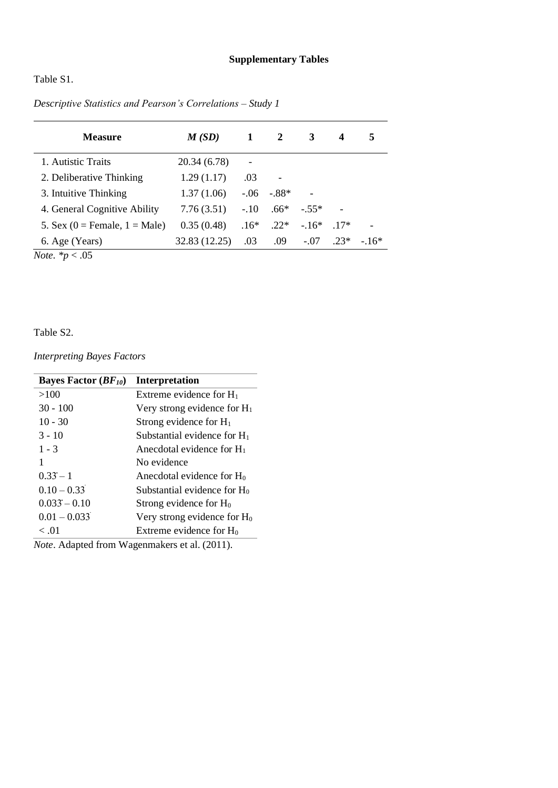Table S1.

| <b>Measure</b>                   | M(SD)         | 1      | $\overline{2}$ | 3      | 4      | 5      |
|----------------------------------|---------------|--------|----------------|--------|--------|--------|
| 1. Autistic Traits               | 20.34 (6.78)  |        |                |        |        |        |
| 2. Deliberative Thinking         | 1.29(1.17)    | .03    |                |        |        |        |
| 3. Intuitive Thinking            | 1.37(1.06)    | $-.06$ | $-.88*$        |        |        |        |
| 4. General Cognitive Ability     | 7.76(3.51)    | $-.10$ | $.66*$         | $-55*$ |        |        |
| 5. Sex (0 = Female, $1 = Male$ ) | 0.35(0.48)    | $.16*$ | $.22*$         | $-16*$ | $17*$  |        |
| 6. Age (Years)                   | 32.83 (12.25) | .03    | .09            | $-.07$ | $.23*$ | $-16*$ |
| <i>Note.</i> $* p < .05$         |               |        |                |        |        |        |

*Descriptive Statistics and Pearson's Correlations – Study 1*

Table S2.

*Interpreting Bayes Factors* 

| <b>Bayes Factor</b> $(BF_{10})$ | <b>Interpretation</b>                 |
|---------------------------------|---------------------------------------|
| >100                            | Extreme evidence for $H_1$            |
| $30 - 100$                      | Very strong evidence for $H_1$        |
| $10 - 30$                       | Strong evidence for $H_1$             |
| $3 - 10$                        | Substantial evidence for $H_1$        |
| $1 - 3$                         | Anecdotal evidence for $H_1$          |
| 1                               | No evidence                           |
| $0.33 - 1$                      | Anecdotal evidence for H <sub>0</sub> |
| $0.10 - 0.33$                   | Substantial evidence for $H_0$        |
| $0.033 - 0.10$                  | Strong evidence for $H_0$             |
| $0.01 - 0.033$                  | Very strong evidence for $H_0$        |
| < 0.01                          | Extreme evidence for $H_0$            |

*Note*. Adapted from Wagenmakers et al. (2011).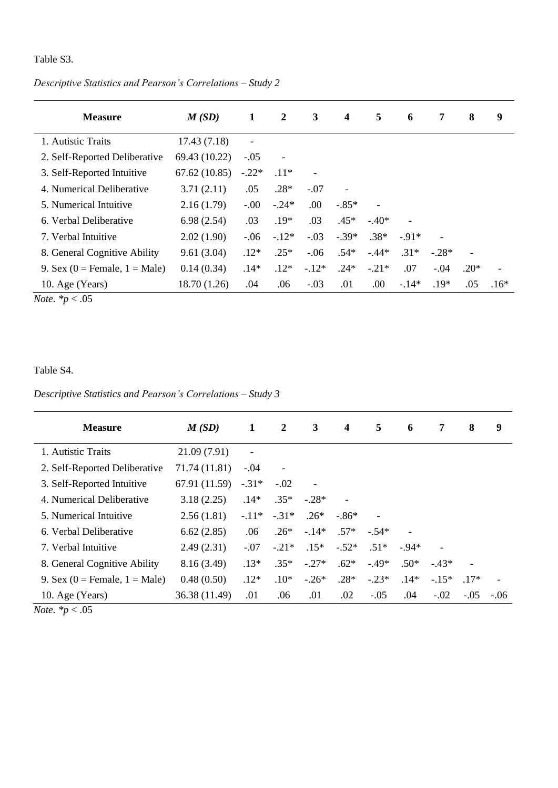## Table S3.

| <b>Measure</b>                   | M(SD)         | 1                            | 2       | 3       | $\overline{\mathbf{4}}$ | 5       | 6      | 7       | 8                        | 9      |
|----------------------------------|---------------|------------------------------|---------|---------|-------------------------|---------|--------|---------|--------------------------|--------|
| 1. Autistic Traits               | 17.43(7.18)   | $\qquad \qquad \blacksquare$ |         |         |                         |         |        |         |                          |        |
| 2. Self-Reported Deliberative    | 69.43 (10.22) | $-.05$                       |         |         |                         |         |        |         |                          |        |
| 3. Self-Reported Intuitive       | 67.62(10.85)  | $-.22*$                      | $.11*$  |         |                         |         |        |         |                          |        |
| 4. Numerical Deliberative        | 3.71(2.11)    | .05                          | $.28*$  | $-.07$  |                         |         |        |         |                          |        |
| 5. Numerical Intuitive           | 2.16(1.79)    | $-0.00$                      | $-.24*$ | .00.    | $-.85*$                 |         |        |         |                          |        |
| 6. Verbal Deliberative           | 6.98(2.54)    | .03                          | $.19*$  | .03     | $.45*$                  | $-.40*$ |        |         |                          |        |
| 7. Verbal Intuitive              | 2.02(1.90)    | $-0.06$                      | $-.12*$ | $-.03$  | $-.39*$                 | $.38*$  | $-91*$ |         |                          |        |
| 8. General Cognitive Ability     | 9.61(3.04)    | $.12*$                       | $.25*$  | $-.06$  | $.54*$                  | $-.44*$ | $.31*$ | $-.28*$ | $\overline{\phantom{a}}$ |        |
| 9. Sex (0 = Female, $1 = Male$ ) | 0.14(0.34)    | $.14*$                       | $.12*$  | $-.12*$ | $.24*$                  | $-.21*$ | .07    | $-.04$  | $.20*$                   |        |
| 10. Age (Years)                  | 18.70(1.26)   | .04                          | .06     | $-.03$  | .01                     | .00.    | $-14*$ | $.19*$  | .05                      | $.16*$ |

*Descriptive Statistics and Pearson's Correlations – Study 2*

*Note. \*p* < .05

Table S4.

*Descriptive Statistics and Pearson's Correlations – Study 3*

| <b>Measure</b>                   | M(SD)         | 1                        | $\mathbf{2}$ | 3       | $\boldsymbol{4}$ | 5       | 6      | 7       | 8      | 9      |
|----------------------------------|---------------|--------------------------|--------------|---------|------------------|---------|--------|---------|--------|--------|
| 1. Autistic Traits               | 21.09 (7.91)  | $\overline{\phantom{a}}$ |              |         |                  |         |        |         |        |        |
| 2. Self-Reported Deliberative    | 71.74 (11.81) | $-.04$                   |              |         |                  |         |        |         |        |        |
| 3. Self-Reported Intuitive       | 67.91 (11.59) | $-.31*$                  | $-.02$       |         |                  |         |        |         |        |        |
| 4. Numerical Deliberative        | 3.18(2.25)    | $.14*$                   | $.35*$       | $-.28*$ |                  |         |        |         |        |        |
| 5. Numerical Intuitive           | 2.56(1.81)    | $-.11*$                  | $-.31*$      | $.26*$  | $-86*$           |         |        |         |        |        |
| 6. Verbal Deliberative           | 6.62(2.85)    | .06                      | $.26*$       | $-14*$  | $.57*$           | $-.54*$ |        |         |        |        |
| 7. Verbal Intuitive              | 2.49(2.31)    | $-.07$                   | $-.21*$      | $.15*$  | $-.52*$          | $.51*$  | $-94*$ |         |        |        |
| 8. General Cognitive Ability     | 8.16(3.49)    | $.13*$                   | $.35*$       | $-.27*$ | $.62*$           | $-.49*$ | $.50*$ | $-43*$  |        |        |
| 9. Sex (0 = Female, $1 = Male$ ) | 0.48(0.50)    | $.12*$                   | $.10*$       | $-.26*$ | $.28*$           | $-.23*$ | $.14*$ | $-.15*$ | $17*$  |        |
| 10. Age (Years)                  | 36.38 (11.49) | .01                      | .06          | .01     | .02              | $-.05$  | .04    | $-.02$  | $-.05$ | $-.06$ |

*Note. \*p* < .05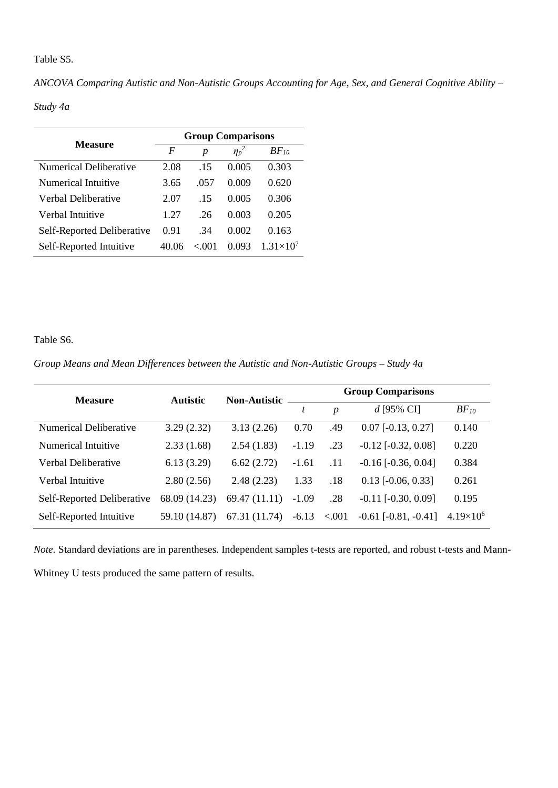## Table S5.

| ANCOVA Comparing Autistic and Non-Autistic Groups Accounting for Age, Sex, and General Cognitive Ability - |  |  |  |
|------------------------------------------------------------------------------------------------------------|--|--|--|
|------------------------------------------------------------------------------------------------------------|--|--|--|

### *Study 4a*

| Measure                    | <b>Group Comparisons</b> |                  |            |                    |  |  |  |  |  |
|----------------------------|--------------------------|------------------|------------|--------------------|--|--|--|--|--|
|                            | F                        | $\boldsymbol{p}$ | $\eta_p^2$ | $BF_{10}$          |  |  |  |  |  |
| Numerical Deliberative     | 2.08                     | -15              | 0.005      | 0.303              |  |  |  |  |  |
| Numerical Intuitive        | 3.65                     | .057             | 0.009      | 0.620              |  |  |  |  |  |
| Verbal Deliberative        | 2.07                     | -15              | 0.005      | 0.306              |  |  |  |  |  |
| Verbal Intuitive           | 1 2.7                    | -26              | 0.003      | 0.205              |  |  |  |  |  |
| Self-Reported Deliberative | 0.91                     | .34              | 0.002      | 0.163              |  |  |  |  |  |
| Self-Reported Intuitive    | 40.06                    | < 0.01           | 0.093      | $1.31\times10^{7}$ |  |  |  |  |  |

## Table S6.

*Group Means and Mean Differences between the Autistic and Non-Autistic Groups – Study 4a* 

| <b>Measure</b>             | <b>Autistic</b> | <b>Non-Autistic</b> | <b>Group Comparisons</b> |                  |                              |                    |  |  |  |
|----------------------------|-----------------|---------------------|--------------------------|------------------|------------------------------|--------------------|--|--|--|
|                            |                 |                     | t                        | $\boldsymbol{p}$ | $d$ [95% CI]                 | $BF_{10}$          |  |  |  |
| Numerical Deliberative     | 3.29(2.32)      | 3.13(2.26)          | 0.70                     | .49              | $0.07$ [-0.13, 0.27]         | 0.140              |  |  |  |
| Numerical Intuitive        | 2.33(1.68)      | 2.54(1.83)          | $-1.19$                  | .23              | $-0.12$ $[-0.32, 0.08]$      | 0.220              |  |  |  |
| Verbal Deliberative        | 6.13(3.29)      | 6.62(2.72)          | $-1.61$                  | .11              | $-0.16$ [ $-0.36$ , $0.04$ ] | 0.384              |  |  |  |
| Verbal Intuitive           | 2.80(2.56)      | 2.48(2.23)          | 1.33                     | .18              | $0.13$ [ $-0.06$ , $0.33$ ]  | 0.261              |  |  |  |
| Self-Reported Deliberative | 68.09 (14.23)   | 69.47 (11.11)       | $-1.09$                  | .28              | $-0.11$ $[-0.30, 0.09]$      | 0.195              |  |  |  |
| Self-Reported Intuitive    | 59.10 (14.87)   | 67.31 (11.74)       | $-6.13$                  | < 0.001          | $-0.61$ $[-0.81, -0.41]$     | $4.19\times10^{6}$ |  |  |  |

*Note.* Standard deviations are in parentheses. Independent samples t-tests are reported, and robust t-tests and Mann-Whitney U tests produced the same pattern of results.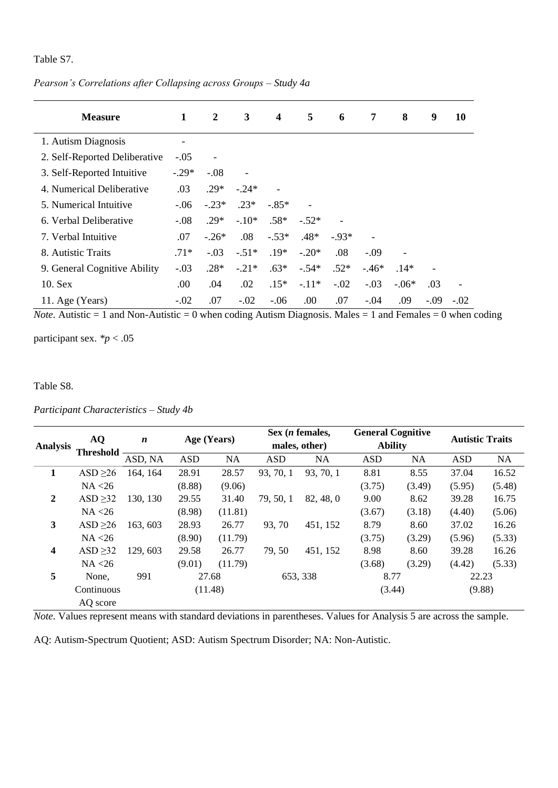Table S7.

*Pearson's Correlations after Collapsing across Groups – Study 4a*

| <b>Measure</b>                | 1                        | 2       | 3                        | 4       | 5       | 6      | 7      | 8       | 9      | 10                       |
|-------------------------------|--------------------------|---------|--------------------------|---------|---------|--------|--------|---------|--------|--------------------------|
| 1. Autism Diagnosis           | $\overline{\phantom{a}}$ |         |                          |         |         |        |        |         |        |                          |
| 2. Self-Reported Deliberative | $-.05$                   |         |                          |         |         |        |        |         |        |                          |
| 3. Self-Reported Intuitive    | $-.29*$                  | $-.08$  | $\overline{\phantom{0}}$ |         |         |        |        |         |        |                          |
| 4. Numerical Deliberative     | .03                      | $.29*$  | $-.24*$                  |         |         |        |        |         |        |                          |
| 5. Numerical Intuitive        | $-.06$                   | $-.23*$ | $.23*$                   | $-.85*$ |         |        |        |         |        |                          |
| 6. Verbal Deliberative        | $-.08$                   | $.29*$  | $-.10*$                  | $.58*$  | $-.52*$ |        |        |         |        |                          |
| 7. Verbal Intuitive           | .07                      | $-.26*$ | .08                      | $-.53*$ | $.48*$  | $-93*$ |        |         |        |                          |
| 8. Autistic Traits            | $.71*$                   | $-.03$  | $-.51*$                  | $.19*$  | $-.20*$ | .08    | $-.09$ |         |        |                          |
| 9. General Cognitive Ability  | $-.03$                   | $.28*$  | $-.21*$                  | $.63*$  | $-.54*$ | $.52*$ | $-46*$ | $.14*$  |        |                          |
| 10. Sex                       | .00                      | .04     | .02                      | $.15*$  | $-.11*$ | $-.02$ | $-.03$ | $-.06*$ | .03    | $\overline{\phantom{a}}$ |
| 11. Age (Years)               | $-.02$                   | .07     | $-.02$                   | $-.06$  | .00.    | .07    | $-.04$ | .09     | $-.09$ | $-.02$                   |

*Note.* Autistic = 1 and Non-Autistic = 0 when coding Autism Diagnosis. Males = 1 and Females = 0 when coding

participant sex.  $\frac{p}{p}$  < .05

Table S8.

*Participant Characteristics – Study 4b*

|                 | <b>AQ</b>        | $\boldsymbol{n}$ | Age (Years) |           |            | Sex ( <i>n</i> females, | <b>General Cognitive</b> |           | <b>Autistic Traits</b> |           |
|-----------------|------------------|------------------|-------------|-----------|------------|-------------------------|--------------------------|-----------|------------------------|-----------|
| <b>Analysis</b> | <b>Threshold</b> |                  |             |           |            | males, other)           | <b>Ability</b>           |           |                        |           |
|                 |                  | ASD, NA          | <b>ASD</b>  | <b>NA</b> | <b>ASD</b> | <b>NA</b>               | <b>ASD</b>               | <b>NA</b> | <b>ASD</b>             | <b>NA</b> |
| 1               | ASD $\geq$ 26    | 164, 164         | 28.91       | 28.57     | 93, 70, 1  | 93, 70, 1               | 8.81                     | 8.55      | 37.04                  | 16.52     |
|                 | NA < 26          |                  | (8.88)      | (9.06)    |            |                         | (3.75)                   | (3.49)    | (5.95)                 | (5.48)    |
| $\mathbf{2}$    | ASD $\geq$ 32    | 130, 130         | 29.55       | 31.40     | 79, 50, 1  | 82, 48, 0               | 9.00                     | 8.62      | 39.28                  | 16.75     |
|                 | NA < 26          |                  | (8.98)      | (11.81)   |            |                         | (3.67)                   | (3.18)    | (4.40)                 | (5.06)    |
| 3               | ASD $\geq$ 26    | 163, 603         | 28.93       | 26.77     | 93, 70     | 451, 152                | 8.79                     | 8.60      | 37.02                  | 16.26     |
|                 | NA < 26          |                  | (8.90)      | (11.79)   |            |                         | (3.75)                   | (3.29)    | (5.96)                 | (5.33)    |
| 4               | ASD $\geq$ 32    | 129, 603         | 29.58       | 26.77     | 79, 50     | 451, 152                | 8.98                     | 8.60      | 39.28                  | 16.26     |
|                 | NA < 26          |                  | (9.01)      | (11.79)   |            |                         | (3.68)                   | (3.29)    | (4.42)                 | (5.33)    |
| 5               | None.            | 991              | 27.68       |           |            | 653, 338                | 8.77                     |           | 22.23                  |           |
|                 | Continuous       |                  | (11.48)     |           |            |                         | (3.44)                   |           | (9.88)                 |           |
|                 | AQ score         |                  |             |           |            |                         |                          |           |                        |           |

*Note.* Values represent means with standard deviations in parentheses. Values for Analysis 5 are across the sample.

AQ: Autism-Spectrum Quotient; ASD: Autism Spectrum Disorder; NA: Non-Autistic.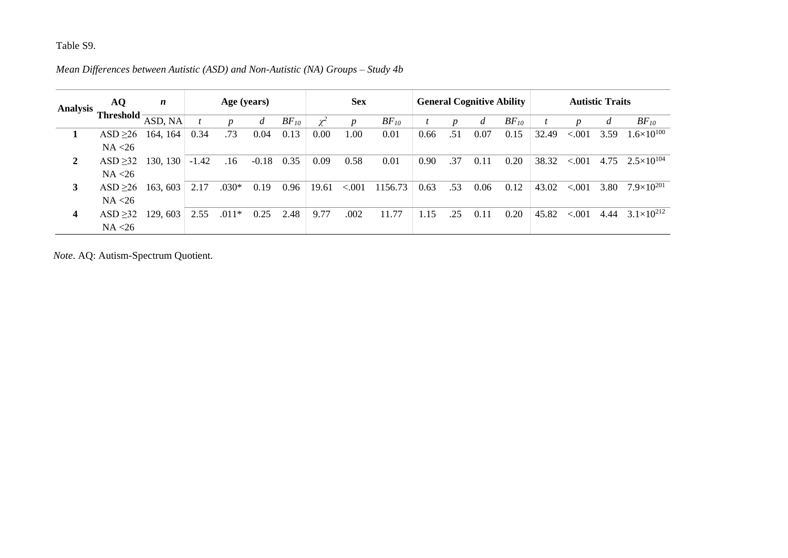# Table S9.

| <b>Analysis</b> | AQ            | $\boldsymbol{n}$ | Age (years) |         |                |           | <b>Sex</b> |                  |           | <b>General Cognitive Ability</b> |                  |                |           | <b>Autistic Traits</b> |         |      |                       |
|-----------------|---------------|------------------|-------------|---------|----------------|-----------|------------|------------------|-----------|----------------------------------|------------------|----------------|-----------|------------------------|---------|------|-----------------------|
|                 | Threshold-    | ASD, NA          |             | n       | $\overline{d}$ | $BF_{10}$ | $\chi^2$   | $\boldsymbol{p}$ | $BF_{10}$ |                                  | $\boldsymbol{p}$ | $\mathfrak{a}$ | $BF_{10}$ |                        |         |      | $BF_{10}$             |
|                 | ASD $\geq 26$ | 164, 164         | 0.34        | .73     | 0.04           | 0.13      | 0.00       | 1.00             | 0.01      | 0.66                             | .51              | 0.07           | 0.15      | 32.49                  | < 0.001 | 3.59 | $1.6\times10^{100}$   |
|                 | NA < 26       |                  |             |         |                |           |            |                  |           |                                  |                  |                |           |                        |         |      |                       |
| $\mathbf{2}$    | ASD $\geq$ 32 | 130, 130         | $-1.42$     | .16     | $-0.18$        | 0.35      | 0.09       | 0.58             | 0.01      | 0.90                             | .37              | 0.11           | 0.20      | 38.32                  | < 0.001 | 4.75 | $2.5 \times 10^{104}$ |
|                 | NA < 26       |                  |             |         |                |           |            |                  |           |                                  |                  |                |           |                        |         |      |                       |
| 3               | ASD $\geq 26$ | 163, 603         | 2.17        | $.030*$ | 0.19           | 0.96      | 19.61      | < 0.001          | 1156.73   | 0.63                             | .53              | 0.06           | 0.12      | 43.02                  | < 0.001 | 3.80 | $7.9\times10^{201}$   |
|                 | NA < 26       |                  |             |         |                |           |            |                  |           |                                  |                  |                |           |                        |         |      |                       |
| 4               | ASD > 32      | 129, 603         | 2.55        | $.011*$ | 0.25           | 2.48      | 9.77       | .002             | 11.77     | 1.15                             | .25              | 0.11           | 0.20      | 45.82                  | < 0.001 | 4.44 | $3.1\times10^{212}$   |
|                 | NA < 26       |                  |             |         |                |           |            |                  |           |                                  |                  |                |           |                        |         |      |                       |

*Mean Differences between Autistic (ASD) and Non-Autistic (NA) Groups – Study 4b*

*Note*. AQ: Autism-Spectrum Quotient.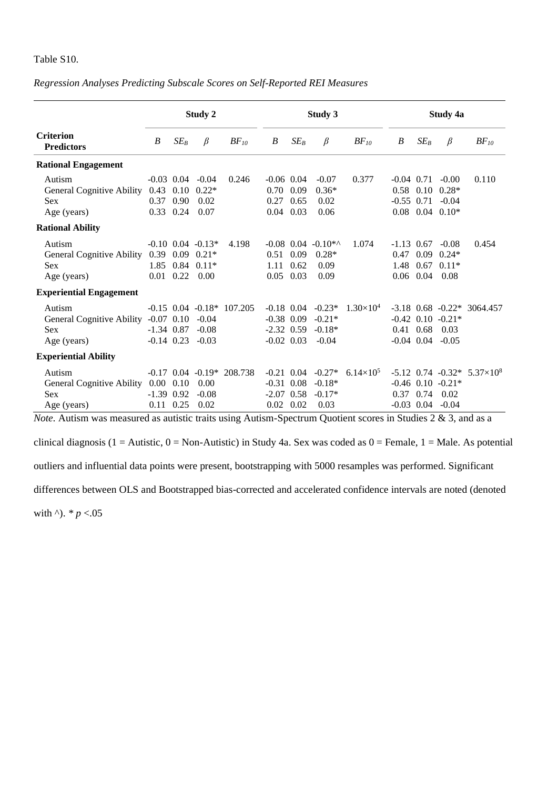## Table S10.

|                                                                                   |                                           |                                     | Study 2                                                             |                                   |                                                              |                      | Study 3                                     |                    | Study 4a                             |                              |                                                                         |                                                     |  |
|-----------------------------------------------------------------------------------|-------------------------------------------|-------------------------------------|---------------------------------------------------------------------|-----------------------------------|--------------------------------------------------------------|----------------------|---------------------------------------------|--------------------|--------------------------------------|------------------------------|-------------------------------------------------------------------------|-----------------------------------------------------|--|
| <b>Criterion</b><br><b>Predictors</b>                                             | B                                         | $SE_B$                              | $\beta$                                                             | $BF_{10}$                         | B                                                            | $SE_B$               | $\beta$                                     | $BF_{10}$          | B                                    | $SE_B$                       | $\beta$                                                                 | $BF_{10}$                                           |  |
| <b>Rational Engagement</b>                                                        |                                           |                                     |                                                                     |                                   |                                                              |                      |                                             |                    |                                      |                              |                                                                         |                                                     |  |
| Autism<br><b>General Cognitive Ability</b><br><b>Sex</b><br>Age (years)           | 0.43<br>0.37                              | $-0.03$ 0.04<br>0.90<br>$0.33$ 0.24 | $-0.04$<br>$0.10$ $0.22*$<br>0.02<br>0.07                           | 0.246                             | $-0.06$ 0.04<br>0.70<br>0.27<br>$0.04$ 0.03                  | 0.09<br>0.65         | $-0.07$<br>$0.36*$<br>0.02<br>0.06          | 0.377              |                                      | $-0.04$ 0.71<br>$-0.55$ 0.71 | $-0.00$<br>$0.58$ 0.10 $0.28*$<br>$-0.04$<br>$0.08$ 0.04 0.10*          | 0.110                                               |  |
| <b>Rational Ability</b>                                                           |                                           |                                     |                                                                     |                                   |                                                              |                      |                                             |                    |                                      |                              |                                                                         |                                                     |  |
| Autism<br><b>General Cognitive Ability</b><br><b>Sex</b><br>Age (years)           | 0.39<br>1.85<br>0.01                      | 0.22                                | $-0.10$ $0.04$ $-0.13*$<br>$0.09$ $0.21*$<br>$0.84$ $0.11*$<br>0.00 | 4.198                             | $-0.08$ 0.04<br>0.51<br>1.11<br>0.05                         | 0.09<br>0.62<br>0.03 | $-0.10**$<br>$0.28*$<br>0.09<br>0.09        | 1.074              | $-1.13$ 0.67<br>0.47<br>1.48<br>0.06 | 0.09<br>0.67<br>0.04         | $-0.08$<br>$0.24*$<br>$0.11*$<br>0.08                                   | 0.454                                               |  |
| <b>Experiential Engagement</b>                                                    |                                           |                                     |                                                                     |                                   |                                                              |                      |                                             |                    |                                      |                              |                                                                         |                                                     |  |
| Autism<br>General Cognitive Ability -0.07 0.10 -0.04<br><b>Sex</b><br>Age (years) |                                           | $-1.34$ 0.87<br>$-0.14$ 0.23        | $-0.08$<br>$-0.03$                                                  | $-0.15$ $0.04$ $-0.18*$ $107.205$ | $-0.18$ 0.04<br>$-0.38$ 0.09<br>$-2.32$ 0.59<br>$-0.02$ 0.03 |                      | $-0.23*$<br>$-0.21*$<br>$-0.18*$<br>$-0.04$ | $1.30\times10^{4}$ |                                      |                              | $-0.42$ 0.10 $-0.21*$<br>$0.41$ $0.68$ $0.03$<br>$-0.04$ $0.04$ $-0.05$ | $-3.18$ 0.68 $-0.22*$ 3064.457                      |  |
| <b>Experiential Ability</b>                                                       |                                           |                                     |                                                                     |                                   |                                                              |                      |                                             |                    |                                      |                              |                                                                         |                                                     |  |
| Autism<br><b>General Cognitive Ability</b><br><b>Sex</b><br>Age (years)           | $0.00\,$<br>$-1.39$ 0.92<br>$0.11$ $0.25$ | 0.10                                | 0.00<br>$-0.08$<br>0.02                                             | $-0.17$ $0.04$ $-0.19*$ $208.738$ | $-0.21$ 0.04<br>$-0.31$ 0.08<br>$-2.07$ 0.58<br>$0.02$ 0.02  |                      | $-0.27*$<br>$-0.18*$<br>$-0.17*$<br>0.03    | $6.14\times10^{5}$ | 0.37                                 |                              | $-0.46$ 0.10 $-0.21*$<br>$0.74$ $0.02$<br>$-0.03$ $0.04$ $-0.04$        | $-5.12$ 0.74 $-0.32*$ 5.37 $\times$ 10 <sup>8</sup> |  |

### *Regression Analyses Predicting Subscale Scores on Self-Reported REI Measures*

*Note.* Autism was measured as autistic traits using Autism-Spectrum Quotient scores in Studies 2 & 3, and as a

clinical diagnosis (1 = Autistic, 0 = Non-Autistic) in Study 4a. Sex was coded as  $0 =$  Female, 1 = Male. As potential

outliers and influential data points were present, bootstrapping with 5000 resamples was performed. Significant

differences between OLS and Bootstrapped bias-corrected and accelerated confidence intervals are noted (denoted

with  $\lambda$ ). *\* p* < .05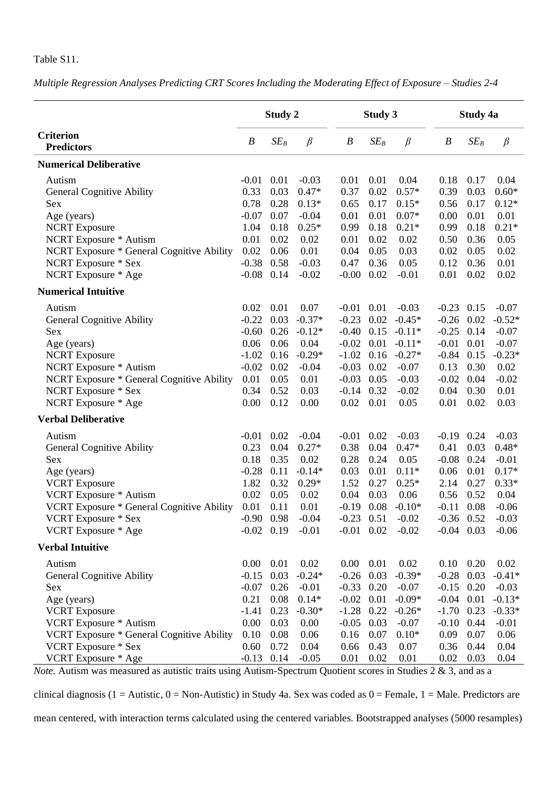## Table S11.

*Multiple Regression Analyses Predicting CRT Scores Including the Moderating Effect of Exposure – Studies 2-4*

|                                                                                                                                                                                                                                                                                           |                                                                                                     | Study 2                                                                              |                                                                                                           |                                                                                                                      | Study 3                                                                      |                                                                                                                        |                                                                                                           | Study 4a                                                                             |                                                                                                                |
|-------------------------------------------------------------------------------------------------------------------------------------------------------------------------------------------------------------------------------------------------------------------------------------------|-----------------------------------------------------------------------------------------------------|--------------------------------------------------------------------------------------|-----------------------------------------------------------------------------------------------------------|----------------------------------------------------------------------------------------------------------------------|------------------------------------------------------------------------------|------------------------------------------------------------------------------------------------------------------------|-----------------------------------------------------------------------------------------------------------|--------------------------------------------------------------------------------------|----------------------------------------------------------------------------------------------------------------|
| <b>Criterion</b><br><b>Predictors</b>                                                                                                                                                                                                                                                     | $\boldsymbol{B}$                                                                                    | $SE_B$                                                                               | $\beta$                                                                                                   | $\boldsymbol{B}$                                                                                                     | $SE_B$                                                                       | $\beta$                                                                                                                | $\boldsymbol{B}$                                                                                          | $SE_B$                                                                               | $\beta$                                                                                                        |
| <b>Numerical Deliberative</b>                                                                                                                                                                                                                                                             |                                                                                                     |                                                                                      |                                                                                                           |                                                                                                                      |                                                                              |                                                                                                                        |                                                                                                           |                                                                                      |                                                                                                                |
| Autism<br><b>General Cognitive Ability</b><br>Sex                                                                                                                                                                                                                                         | $-0.01$<br>0.33<br>0.78                                                                             | 0.01<br>0.03<br>0.28                                                                 | $-0.03$<br>$0.47*$<br>$0.13*$                                                                             | 0.01<br>0.37<br>0.65                                                                                                 | 0.01<br>0.02<br>0.17                                                         | 0.04<br>$0.57*$<br>$0.15*$                                                                                             | 0.18<br>0.39<br>0.56                                                                                      | 0.17<br>0.03<br>0.17                                                                 | 0.04<br>$0.60*$<br>$0.12*$                                                                                     |
| Age (years)<br><b>NCRT</b> Exposure<br><b>NCRT</b> Exposure * Autism<br>NCRT Exposure * General Cognitive Ability                                                                                                                                                                         | $-0.07$<br>1.04<br>0.01<br>0.02                                                                     | 0.07<br>0.18<br>0.02<br>0.06                                                         | $-0.04$<br>$0.25*$<br>0.02<br>0.01                                                                        | 0.01<br>0.99<br>0.01<br>0.04                                                                                         | 0.01<br>0.18<br>0.02<br>0.05                                                 | $0.07\mathrm{*}$<br>$0.21*$<br>0.02<br>0.03                                                                            | 0.00<br>0.99<br>0.50<br>0.02                                                                              | 0.01<br>0.18<br>0.36<br>0.05                                                         | 0.01<br>$0.21*$<br>0.05<br>0.02                                                                                |
| NCRT Exposure * Sex<br>NCRT Exposure * Age                                                                                                                                                                                                                                                | $-0.38$<br>$-0.08$                                                                                  | 0.58<br>0.14                                                                         | $-0.03$<br>$-0.02$                                                                                        | 0.47<br>$-0.00$                                                                                                      | 0.36<br>0.02                                                                 | 0.05<br>$-0.01$                                                                                                        | 0.12<br>0.01                                                                                              | 0.36<br>0.02                                                                         | 0.01<br>0.02                                                                                                   |
| <b>Numerical Intuitive</b>                                                                                                                                                                                                                                                                |                                                                                                     |                                                                                      |                                                                                                           |                                                                                                                      |                                                                              |                                                                                                                        |                                                                                                           |                                                                                      |                                                                                                                |
| Autism<br><b>General Cognitive Ability</b><br>Sex<br>Age (years)<br><b>NCRT</b> Exposure<br>NCRT Exposure * Autism<br><b>NCRT Exposure * General Cognitive Ability</b><br>NCRT Exposure * Sex<br>NCRT Exposure * Age<br><b>Verbal Deliberative</b><br>Autism<br>General Cognitive Ability | 0.02<br>$-0.22$<br>$-0.60$<br>0.06<br>$-1.02$<br>$-0.02$<br>0.01<br>0.34<br>0.00<br>$-0.01$<br>0.23 | 0.01<br>0.03<br>0.26<br>0.06<br>0.16<br>0.02<br>0.05<br>0.52<br>0.12<br>0.02<br>0.04 | 0.07<br>$-0.37*$<br>$-0.12*$<br>0.04<br>$-0.29*$<br>$-0.04$<br>0.01<br>0.03<br>0.00<br>$-0.04$<br>$0.27*$ | $-0.01$ 0.01<br>$-0.23$<br>$-0.40$<br>$-0.02$<br>$-1.02$<br>$-0.03$<br>$-0.03$<br>$-0.14$<br>0.02<br>$-0.01$<br>0.38 | 0.02<br>0.15<br>0.01<br>0.16<br>0.02<br>0.05<br>0.32<br>0.01<br>0.02<br>0.04 | $-0.03$<br>$-0.45*$<br>$-0.11*$<br>$-0.11*$<br>$-0.27*$<br>$-0.07$<br>$-0.03$<br>$-0.02$<br>0.05<br>$-0.03$<br>$0.47*$ | $-0.23$<br>$-0.26$<br>$-0.25$<br>$-0.01$<br>$-0.84$<br>0.13<br>$-0.02$<br>0.04<br>0.01<br>$-0.19$<br>0.41 | 0.15<br>0.02<br>0.14<br>0.01<br>0.15<br>0.30<br>0.04<br>0.30<br>0.02<br>0.24<br>0.03 | $-0.07$<br>$-0.52*$<br>$-0.07$<br>$-0.07$<br>$-0.23*$<br>0.02<br>$-0.02$<br>0.01<br>0.03<br>$-0.03$<br>$0.48*$ |
| Sex<br>Age (years)<br><b>VCRT</b> Exposure<br><b>VCRT</b> Exposure * Autism<br>VCRT Exposure * General Cognitive Ability<br><b>VCRT</b> Exposure * Sex<br>VCRT Exposure * Age                                                                                                             | 0.18<br>$-0.28$<br>1.82<br>0.02<br>0.01                                                             | 0.35<br>0.11<br>0.32<br>0.05<br>0.11<br>$-0.02$ 0.19                                 | 0.02<br>$-0.14*$<br>$0.29*$<br>0.02<br>0.01<br>$-0.90$ 0.98 $-0.04$<br>$-0.01$                            | 0.28<br>0.03<br>1.52<br>0.04<br>$-0.19$ 0.08<br>$-0.01$ 0.02                                                         | 0.24<br>0.01<br>0.27<br>0.03                                                 | 0.05<br>$0.11*$<br>$0.25*$<br>0.06<br>$-0.10*$<br>$-0.23$ $0.51$ $-0.02$<br>$-0.02$                                    | $-0.08$<br>0.06<br>2.14<br>0.56<br>$-0.11$ 0.08<br>$-0.04$ 0.03                                           | 0.24<br>0.01<br>0.27<br>0.52                                                         | $-0.01$<br>$0.17*$<br>$0.33*$<br>0.04<br>$-0.06$<br>$-0.36$ $0.52$ $-0.03$<br>$-0.06$                          |
| <b>Verbal Intuitive</b>                                                                                                                                                                                                                                                                   |                                                                                                     |                                                                                      |                                                                                                           |                                                                                                                      |                                                                              |                                                                                                                        |                                                                                                           |                                                                                      |                                                                                                                |
| Autism<br><b>General Cognitive Ability</b><br>Sex<br>Age (years)<br><b>VCRT</b> Exposure<br>VCRT Exposure * Autism                                                                                                                                                                        | $0.00\,$<br>$-0.15$<br>$-0.07$<br>0.21<br>$-1.41$<br>0.00                                           | 0.01<br>0.03<br>0.26<br>0.08<br>0.23<br>0.03                                         | 0.02<br>$-0.24*$<br>$-0.01$<br>$0.14*$<br>$-0.30*$<br>0.00                                                | $0.00 \quad 0.01$<br>$-0.26$ 0.03<br>$-0.33$<br>$-0.02$<br>$-1.28$<br>$-0.05$                                        | 0.20<br>0.01<br>0.22<br>0.03                                                 | 0.02<br>$-0.39*$<br>$-0.07$<br>$-0.09*$<br>$-0.26*$<br>$-0.07$                                                         | 0.10<br>$-0.28$<br>$-0.15$<br>$-0.04$<br>$-1.70$<br>$-0.10$                                               | 0.20<br>0.03<br>0.20<br>0.01<br>0.23<br>0.44                                         | 0.02<br>$-0.41*$<br>$-0.03$<br>$-0.13*$<br>$-0.33*$<br>$-0.01$                                                 |
| VCRT Exposure * General Cognitive Ability<br>VCRT Exposure * Sex<br>VCRT Exposure * Age                                                                                                                                                                                                   | 0.10<br>0.60<br>$-0.13$ 0.14                                                                        | 0.08<br>0.72                                                                         | 0.06<br>0.04<br>$-0.05$                                                                                   | 0.16<br>0.66<br>0.01                                                                                                 | 0.07<br>0.43<br>0.02                                                         | $0.10*$<br>0.07<br>0.01                                                                                                | 0.09<br>0.36<br>0.02                                                                                      | 0.07<br>0.44<br>0.03                                                                 | 0.06<br>0.04<br>0.04                                                                                           |

*Note.* Autism was measured as autistic traits using Autism-Spectrum Quotient scores in Studies 2 & 3, and as a

clinical diagnosis (1 = Autistic, 0 = Non-Autistic) in Study 4a. Sex was coded as  $0 =$  Female, 1 = Male. Predictors are

mean centered, with interaction terms calculated using the centered variables. Bootstrapped analyses (5000 resamples)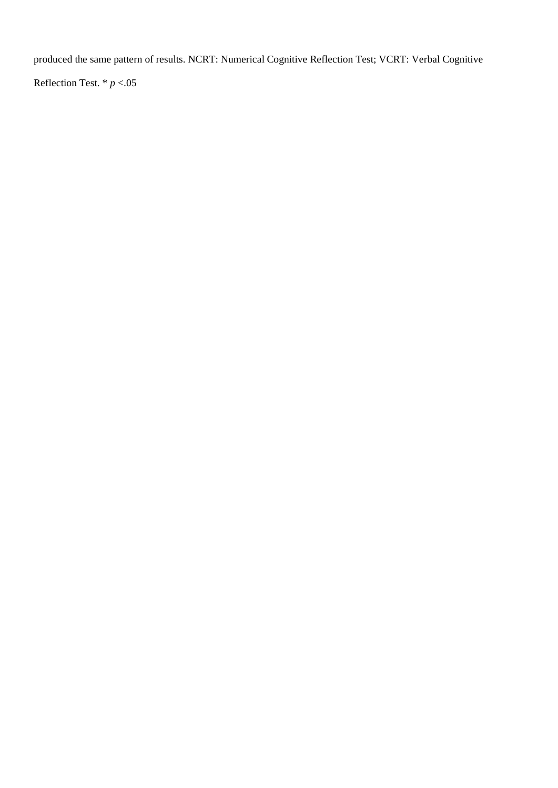produced the same pattern of results. NCRT: Numerical Cognitive Reflection Test; VCRT: Verbal Cognitive

Reflection Test. \* *p* <.05